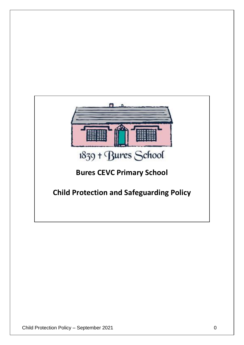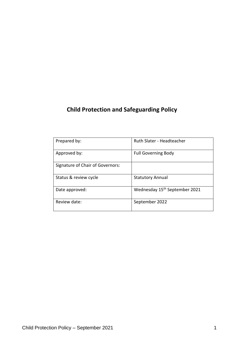# **Child Protection and Safeguarding Policy**

| Prepared by:                     | Ruth Slater - Headteacher                 |
|----------------------------------|-------------------------------------------|
| Approved by:                     | <b>Full Governing Body</b>                |
| Signature of Chair of Governors: |                                           |
| Status & review cycle            | <b>Statutory Annual</b>                   |
| Date approved:                   | Wednesday 15 <sup>th</sup> September 2021 |
| Review date:                     | September 2022                            |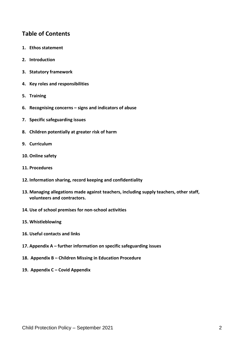# **Table of Contents**

- **1. Ethos statement**
- **2. Introduction**
- **3. Statutory framework**
- **4. Key roles and responsibilities**
- **5. Training**
- **6. Recognising concerns – signs and indicators of abuse**
- **7. Specific safeguarding issues**
- **8. Children potentially at greater risk of harm**
- **9. Curriculum**
- **10. Online safety**
- **11. Procedures**
- **12. Information sharing, record keeping and confidentiality**
- **13. Managing allegations made against teachers, including supply teachers, other staff, volunteers and contractors.**
- **14. Use of school premises for non-school activities**
- **15. Whistleblowing**
- **16. Useful contacts and links**
- **17. Appendix A – further information on specific safeguarding issues**
- **18. Appendix B – Children Missing in Education Procedure**
- **19. Appendix C – Covid Appendix**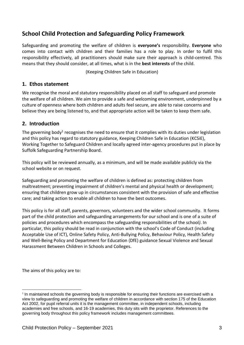# **School Child Protection and Safeguarding Policy Framework**

Safeguarding and promoting the welfare of children is **everyone's** responsibility. **Everyone** who comes into contact with children and their families has a role to play. In order to fulfil this responsibility effectively, all practitioners should make sure their approach is child-centred. This means that they should consider, at all times, what is in the **best interests** of the child.

(Keeping Children Safe in Education)

### **1. Ethos statement**

We recognise the moral and statutory responsibility placed on all staff to safeguard and promote the welfare of all children. We aim to provide a safe and welcoming environment, underpinned by a culture of openness where both children and adults feel secure, are able to raise concerns and believe they are being listened to, and that appropriate action will be taken to keep them safe.

### **2. Introduction**

The governing body<sup>1</sup> recognises the need to ensure that it complies with its duties under legislation and this policy has regard to statutory guidance, Keeping Children Safe in Education (KCSiE), Working Together to Safeguard Children and locally agreed inter-agency procedures put in place by Suffolk Safeguarding Partnership Board.

This policy will be reviewed annually, as a minimum, and will be made available publicly via the school website or on request.

Safeguarding and promoting the welfare of children is defined as: protecting children from maltreatment; preventing impairment of children's mental and physical health or development; ensuring that children grow up in circumstances consistent with the provision of safe and effective care; and taking action to enable all children to have the best outcomes.

This policy is for all staff, parents, governors, volunteers and the wider school community. It forms part of the child protection and safeguarding arrangements for our school and is one of a suite of policies and procedures which encompass the safeguarding responsibilities of the school*)*. In particular, this policy should be read in conjunction with the school's Code of Conduct (including Acceptable Use of ICT), Online Safety Policy, Anti-Bullying Policy, Behaviour Policy, Health Safety and Well-Being Policy and Department for Education (DfE) guidance Sexual Violence and Sexual Harassment Between Children in Schools and Colleges.

The aims of this policy are to:

1

<sup>&</sup>lt;sup>1</sup> In maintained schools the governing body is responsible for ensuring their functions are exercised with a view to safeguarding and promoting the welfare of children in accordance with section 175 of the Education Act 2002, for pupil referral units it is the management committee, in independent schools, including academies and free schools, and 16-19 academies, this duty sits with the proprietor. References to the governing body throughout this policy framework includes management committees.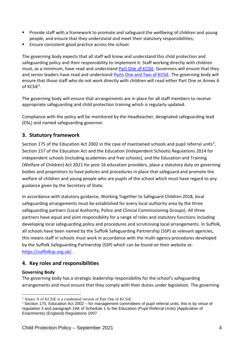- Provide staff with a framework to promote and safeguard the wellbeing of children and young people, and ensure that they understand and meet their statutory responsibilities;
- Ensure consistent good practice across the school.

The governing body expects that all staff will know and understand this child protection and safeguarding policy and their responsibility to implement it. Staff working directly with children must, as a minimum, have read and understand [Part One of KCSiE.](https://www.gov.uk/government/publications/keeping-children-safe-in-education--2) Governors will ensure that they and senior leaders have read and understand [Parts One and Two of KCSiE.](https://www.gov.uk/government/publications/keeping-children-safe-in-education--2) The governing body will ensure that those staff who do not work directly with children will read either Part One or Annex A of KCSiE<sup>2</sup>.

The governing body will ensure that arrangements are in place for all staff members to receive appropriate safeguarding and child protection training which is regularly updated.

Compliance with the policy will be monitored by the Headteacher, designated safeguarding lead (DSL) and named safeguarding governor.

# **3. Statutory framework**

Section 175 of the Education Act 2002 in the case of maintained schools and pupil referral units<sup>3</sup>, Section 157 of the Education Act and the Education (Independent Schools) Regulations 2014 for independent schools (including academies and free schools), and the Education and Training (Welfare of Children) Act 2021 for post 16 education providers, place a statutory duty on governing bodies and proprietors to have policies and procedures in place that safeguard and promote the welfare of children and young people who are pupils of the school which must have regard to any guidance given by the Secretary of State.

In accordance with statutory guidance, Working Together to Safeguard Children 2018, local safeguarding arrangements must be established for every local authority area by the three safeguarding partners (Local Authority, Police and Clinical Commissioning Groups). All three partners have equal and joint responsibility for a range of roles and statutory functions including developing local safeguarding policy and procedures and scrutinising local arrangements. In Suffolk, all schools have been named by the Suffolk Safeguarding Partnership (SSP) as relevant agencies, this means staff in schools must work in accordance with the multi-agency procedures developed by the Suffolk Safeguarding Partnership (SSP) which can be found on their website at: [https://suffolksp.org.uk/.](https://suffolksp.org.uk/)

# **4. Key roles and responsibilities**

### **Governing Body**

The governing body has a strategic leadership responsibility for the school's safeguarding arrangements and must ensure that they comply with their duties under legislation. The governing

<sup>1</sup> <sup>2</sup> Annex A of KCSiE is a condensed version of Part One of KCSiE.

<sup>&</sup>lt;sup>3</sup> Section 175, Education Act 2002 – for management committees of pupil referral units, this is by virtue of regulation 3 and paragraph 19A of Schedule 1 to the Education (Pupil Referral Units) (Application of Enactments) (England) Regulations 2007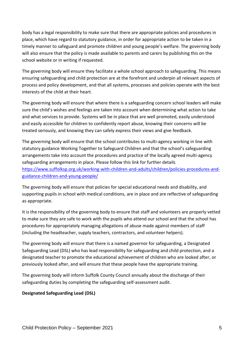body has a legal responsibility to make sure that there are appropriate policies and procedures in place, which have regard to statutory guidance, in order for appropriate action to be taken in a timely manner to safeguard and promote children and young people's welfare. The governing body will also ensure that the policy is made available to parents and carers by publishing this on the school website or in writing if requested.

The governing body will ensure they facilitate a whole school approach to safeguarding. This means ensuring safeguarding and child protection are at the forefront and underpin all relevant aspects of process and policy development, and that all systems, processes and policies operate with the best interests of the child at their heart.

The governing body will ensure that where there is a safeguarding concern school leaders will make sure the child's wishes and feelings are taken into account when determining what action to take and what services to provide. Systems will be in place that are well promoted, easily understood and easily accessible for children to confidently report abuse, knowing their concerns will be treated seriously, and knowing they can safely express their views and give feedback.

The governing body will ensure that the school contributes to multi-agency working in line with statutory guidance Working Together to Safeguard Children and that the school's safeguarding arrangements take into account the procedures and practice of the locally agreed multi-agency safeguarding arrangements in place. Please follow this link for further details [https://www.suffolksp.org.uk/working-with-children-and-adults/children/policies-procedures-and](https://www.suffolksp.org.uk/working-with-children-and-adults/children/policies-procedures-and-guidance-children-and-young-people/)[guidance-children-and-young-people/](https://www.suffolksp.org.uk/working-with-children-and-adults/children/policies-procedures-and-guidance-children-and-young-people/)

The governing body will ensure that policies for special educational needs and disability, and supporting pupils in school with medical conditions, are in place and are reflective of safeguarding as appropriate.

It is the responsibility of the governing body to ensure that staff and volunteers are properly vetted to make sure they are safe to work with the pupils who attend our school and that the school has procedures for appropriately managing allegations of abuse made against members of staff (including the headteacher, supply teachers, contractors, and volunteer helpers).

The governing body will ensure that there is a named governor for safeguarding, a Designated Safeguarding Lead (DSL) who has lead responsibility for safeguarding and child protection, and a designated teacher to promote the educational achievement of children who are looked after, or previously looked after, and will ensure that these people have the appropriate training.

The governing body will inform Suffolk County Council annually about the discharge of their safeguarding duties by completing the safeguarding self-assessment audit.

### **Designated Safeguarding Lead (DSL)**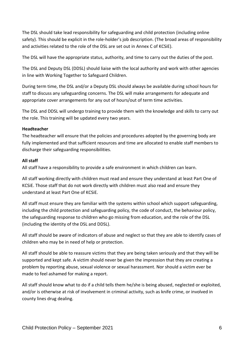The DSL should take lead responsibility for safeguarding and child protection (including online safety). This should be explicit in the role-holder's job description. (The broad areas of responsibility and activities related to the role of the DSL are set out in Annex C of KCSiE).

The DSL will have the appropriate status, authority, and time to carry out the duties of the post.

The DSL and Deputy DSL (DDSL) should liaise with the local authority and work with other agencies in line with Working Together to Safeguard Children.

During term time, the DSL and/or a Deputy DSL should always be available during school hours for staff to discuss any safeguarding concerns. The DSL will make arrangements for adequate and appropriate cover arrangements for any out of hours/out of term time activities.

The DSL and DDSL will undergo training to provide them with the knowledge and skills to carry out the role. This training will be updated every two years.

### **Headteacher**

The headteacher will ensure that the policies and procedures adopted by the governing body are fully implemented and that sufficient resources and time are allocated to enable staff members to discharge their safeguarding responsibilities.

### **All staff**

All staff have a responsibility to provide a safe environment in which children can learn.

All staff working directly with children must read and ensure they understand at least Part One of KCSiE. Those staff that do not work directly with children must also read and ensure they understand at least Part One of KCSiE.

All staff must ensure they are familiar with the systems within school which support safeguarding, including the child protection and safeguarding policy, the code of conduct, the behaviour policy, the safeguarding response to children who go missing from education, and the role of the DSL (including the identity of the DSL and DDSL).

All staff should be aware of indicators of abuse and neglect so that they are able to identify cases of children who may be in need of help or protection.

All staff should be able to reassure victims that they are being taken seriously and that they will be supported and kept safe. A victim should never be given the impression that they are creating a problem by reporting abuse, sexual violence or sexual harassment. Nor should a victim ever be made to feel ashamed for making a report.

All staff should know what to do if a child tells them he/she is being abused, neglected or exploited, and/or is otherwise at risk of involvement in criminal activity, such as knife crime, or involved in county lines drug dealing.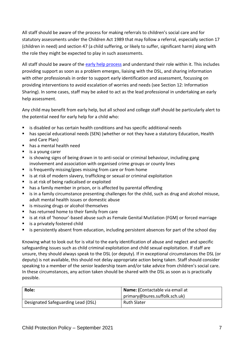All staff should be aware of the process for making referrals to children's social care and for statutory assessments under the Children Act 1989 that may follow a referral, especially section 17 (children in need) and section 47 (a child suffering, or likely to suffer, significant harm) along with the role they might be expected to play in such assessments.

All staff should be aware of the [early help process](https://suffolksp.org.uk/working-with-children-and-adults/children/early-help/) and understand their role within it. This includes providing support as soon as a problem emerges, liaising with the DSL, and sharing information with other professionals in order to support early identification and assessment, focussing on providing interventions to avoid escalation of worries and needs (see Section 12: Information Sharing). In some cases, staff may be asked to act as the lead professional in undertaking an early help assessment.

Any child may benefit from early help, but all school and college staff should be particularly alert to the potential need for early help for a child who:

- is disabled or has certain health conditions and has specific additional needs
- has special educational needs (SEN) (whether or not they have a statutory Education, Health and Care Plan)
- has a mental health need
- is a young carer
- is showing signs of being drawn in to anti-social or criminal behaviour, including gang involvement and association with organised crime groups or county lines
- is frequently missing/goes missing from care or from home
- is at risk of modern slavery, trafficking or sexual or criminal exploitation
- is at risk of being radicalised or exploited
- has a family member in prison, or is affected by parental offending
- is in a family circumstance presenting challenges for the child, such as drug and alcohol misuse, adult mental health issues or domestic abuse
- is misusing drugs or alcohol themselves
- has returned home to their family from care
- is at risk of 'honour'-based abuse such as Female Genital Mutilation (FGM) or forced marriage
- is a privately fostered child
- is persistently absent from education, including persistent absences for part of the school day

Knowing what to look out for is vital to the early identification of abuse and neglect and specific safeguarding issues such as child criminal exploitation and child sexual exploitation. If staff are unsure, they should always speak to the DSL (or deputy). If in exceptional circumstances the DSL (or deputy) is not available, this should not delay appropriate action being taken. Staff should consider speaking to a member of the senior leadership team and/or take advice from children's social care. In these circumstances, any action taken should be shared with the DSL as soon as is practically possible.

| Role:                              | Name: (Contactable via email at |  |
|------------------------------------|---------------------------------|--|
|                                    | primary@bures.suffolk.sch.uk)   |  |
| Designated Safeguarding Lead (DSL) | <b>Ruth Slater</b>              |  |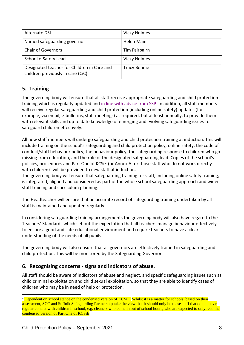| Alternate DSL                                                                    | <b>Vicky Holmes</b> |
|----------------------------------------------------------------------------------|---------------------|
| Named safeguarding governor                                                      | <b>Helen Main</b>   |
| <b>Chair of Governors</b>                                                        | Tim Fairbairn       |
| School e-Safety Lead                                                             | <b>Vicky Holmes</b> |
| Designated teacher for Children in Care and<br>children previously in care (CiC) | <b>Tracy Bennie</b> |

# **5. Training**

The governing body will ensure that all staff receive appropriate safeguarding and child protection training which is regularly updated and [in line with advice from SSP.](https://suffolksp.org.uk/working-with-children-and-adults/children/early-help/) In addition, all staff members will receive regular safeguarding and child protection (including online safety) updates (for example, via email, e-bulletins, staff meetings) as required, but at least annually, to provide them with relevant skills and up to date knowledge of emerging and evolving safeguarding issues to safeguard children effectively.

All new staff members will undergo safeguarding and child protection training at induction. This will include training on the school's safeguarding and child protection policy, online safety, the code of conduct/staff behaviour policy, the behaviour policy, the safeguarding response to children who go missing from education, and the role of the designated safeguarding lead. Copies of the school's policies, procedures and Part One of KCSiE (or Annex A for those staff who do not work directly with children)<sup>4</sup> will be provided to new staff at induction.

The governing body will ensure that safeguarding training for staff, including online safety training, is integrated, aligned and considered as part of the whole school safeguarding approach and wider staff training and curriculum planning.

The Headteacher will ensure that an accurate record of safeguarding training undertaken by all staff is maintained and updated regularly.

In considering safeguarding training arrangements the governing body will also have regard to the Teachers' Standards which set out the expectation that all teachers manage behaviour effectively to ensure a good and safe educational environment and require teachers to have a clear understanding of the needs of all pupils.

The governing body will also ensure that all governors are effectively trained in safeguarding and child protection. This will be monitored by the Safeguarding Governor.

# **6. Recognising concerns - signs and indicators of abuse.**

All staff should be aware of indicators of abuse and neglect, and specific safeguarding issues such as child criminal exploitation and child sexual exploitation, so that they are able to identify cases of children who may be in need of help or protection.

1

<sup>&</sup>lt;sup>4</sup> Dependent on school stance on the condensed version of KCSiE. Whilst it is a matter for schools, based on their assessment, SCC and Suffolk Safeguarding Partnership take the view that it should only be those staff that do not have regular contact with children in school, e.g. cleaners who come in out of school hours, who are expected to only read the condensed version of Part One of KCSiE.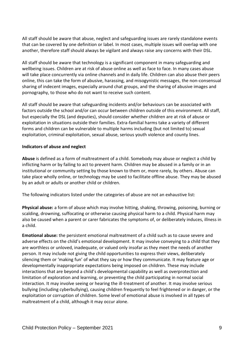All staff should be aware that abuse, neglect and safeguarding issues are rarely standalone events that can be covered by one definition or label. In most cases, multiple issues will overlap with one another, therefore staff should always be vigilant and always raise any concerns with their DSL.

All staff should be aware that technology is a significant component in many safeguarding and wellbeing issues. Children are at risk of abuse online as well as face to face. In many cases abuse will take place concurrently via online channels and in daily life. Children can also abuse their peers online, this can take the form of abusive, harassing, and misogynistic messages, the non-consensual sharing of indecent images, especially around chat groups, and the sharing of abusive images and pornography, to those who do not want to receive such content.

All staff should be aware that safeguarding incidents and/or behaviours can be associated with factors outside the school and/or can occur between children outside of this environment. All staff, but especially the DSL (and deputies), should consider whether children are at risk of abuse or exploitation in situations outside their families. Extra-familial harms take a variety of different forms and children can be vulnerable to multiple harms including (but not limited to) sexual exploitation, criminal exploitation, sexual abuse, serious youth violence and county lines.

### **Indicators of abuse and neglect**

**Abuse** is defined as a form of maltreatment of a child. Somebody may abuse or neglect a child by inflicting harm or by failing to act to prevent harm. Children may be abused in a family or in an institutional or community setting by those known to them or, more rarely, by others. Abuse can take place wholly online, or technology may be used to facilitate offline abuse. They may be abused by an adult or adults or another child or children.

The following indicators listed under the categories of abuse are not an exhaustive list:

**Physical abuse:** a form of abuse which may involve hitting, shaking, throwing, poisoning, burning or scalding, drowning, suffocating or otherwise causing physical harm to a child. Physical harm may also be caused when a parent or carer fabricates the symptoms of, or deliberately induces, illness in a child.

**Emotional abuse:** the persistent emotional maltreatment of a child such as to cause severe and adverse effects on the child's emotional development. It may involve conveying to a child that they are worthless or unloved, inadequate, or valued only insofar as they meet the needs of another person. It may include not giving the child opportunities to express their views, deliberately silencing them or 'making fun' of what they say or how they communicate. It may feature age or developmentally inappropriate expectations being imposed on children. These may include interactions that are beyond a child's developmental capability as well as overprotection and limitation of exploration and learning, or preventing the child participating in normal social interaction. It may involve seeing or hearing the ill-treatment of another. It may involve serious bullying (including cyberbullying), causing children frequently to feel frightened or in danger, or the exploitation or corruption of children. Some level of emotional abuse is involved in all types of maltreatment of a child, although it may occur alone.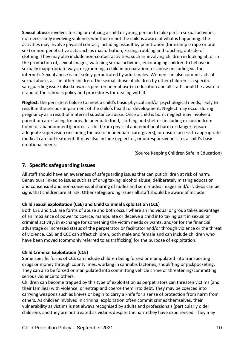**Sexual abuse**: involves forcing or enticing a child or young person to take part in sexual activities, not necessarily involving violence, whether or not the child is aware of what is happening. The activities may involve physical contact, including assault by penetration (for example rape or oral sex) or non-penetrative acts such as masturbation, kissing, rubbing and touching outside of clothing. They may also include non-contact activities, such as involving children in looking at, or in the production of, sexual images, watching sexual activities, encouraging children to behave in sexually inappropriate ways, or grooming a child in preparation for abuse (including via the internet). Sexual abuse is not solely perpetrated by adult males. Women can also commit acts of sexual abuse, as can other children. The sexual abuse of children by other children is a specific safeguarding issue (also known as peer on peer abuse) in education and all staff should be aware of it and of the school's policy and procedures for dealing with it.

**Neglect**: the persistent failure to meet a child's basic physical and/or psychological needs, likely to result in the serious impairment of the child's health or development. Neglect may occur during pregnancy as a result of maternal substance abuse. Once a child is born, neglect may involve a parent or carer failing to: provide adequate food, clothing and shelter (including exclusion from home or abandonment); protect a child from physical and emotional harm or danger; ensure adequate supervision (including the use of inadequate care-givers); or ensure access to appropriate medical care or treatment. It may also include neglect of, or unresponsiveness to, a child's basic emotional needs.

(Source Keeping Children Safe in Education)

# **7. Specific safeguarding issues**

All staff should have an awareness of safeguarding issues that can put children at risk of harm. Behaviours linked to issues such as of drug taking, alcohol abuse, deliberately missing education and consensual and non-consensual sharing of nudes and semi-nudes images and/or videos can be signs that children are at risk. Other safeguarding issues all staff should be aware of include:

### **Child sexual exploitation (CSE) and Child Criminal Exploitation (CCE)**

Both CSE and CCE are forms of abuse and both occur where an individual or group takes advantage of an imbalance of power to coerce, manipulate or deceive a child into taking part in sexual or criminal activity, in exchange for something the victim needs or wants, and/or for the financial advantage or increased status of the perpetrator or facilitator and/or through violence or the threat of violence. CSE and CCE can affect children, both male and female and can include children who have been moved (commonly referred to as trafficking) for the purpose of exploitation.

### **Child Criminal Exploitation (CCE)**

Some specific forms of CCE can include children being forced or manipulated into transporting drugs or money through county lines, working in cannabis factories, shoplifting or pickpocketing. They can also be forced or manipulated into committing vehicle crime or threatening/committing serious violence to others.

Children can become trapped by this type of exploitation as perpetrators can threaten victims (and their families) with violence, or entrap and coerce them into debt. They may be coerced into carrying weapons such as knives or begin to carry a knife for a sense of protection from harm from others. As children involved in criminal exploitation often commit crimes themselves, their vulnerability as victims is not always recognised by adults and professionals (particularly older children), and they are not treated as victims despite the harm they have experienced. They may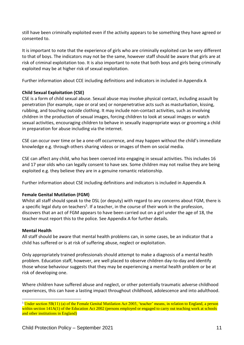still have been criminally exploited even if the activity appears to be something they have agreed or consented to.

It is important to note that the experience of girls who are criminally exploited can be very different to that of boys. The indicators may not be the same, however staff should be aware that girls are at risk of criminal exploitation too. It is also important to note that both boys and girls being criminally exploited may be at higher risk of sexual exploitation.

Further information about CCE including definitions and indicators in included in Appendix A

### **Child Sexual Exploitation (CSE)**

CSE is a form of child sexual abuse. Sexual abuse may involve physical contact, including assault by penetration (for example, rape or oral sex) or nonpenetrative acts such as masturbation, kissing, rubbing, and touching outside clothing. It may include non-contact activities, such as involving children in the production of sexual images, forcing children to look at sexual images or watch sexual activities, encouraging children to behave in sexually inappropriate ways or grooming a child in preparation for abuse including via the internet.

CSE can occur over time or be a one-off occurrence, and may happen without the child's immediate knowledge e.g. through others sharing videos or images of them on social media.

CSE can affect any child, who has been coerced into engaging in sexual activities. This includes 16 and 17 year olds who can legally consent to have sex. Some children may not realise they are being exploited e.g. they believe they are in a genuine romantic relationship.

Further information about CSE including definitions and indicators is included in Appendix A

### **Female Genital Mutilation (FGM)**

Whilst all staff should speak to the DSL (or deputy) with regard to any concerns about FGM, there is a specific legal duty on teachers<sup>5</sup>. If a teacher, in the course of their work in the profession, discovers that an act of FGM appears to have been carried out on a girl under the age of 18, the teacher must report this to the police. See Appendix A for further details.

### **Mental Health**

All staff should be aware that mental health problems can, in some cases, be an indicator that a child has suffered or is at risk of suffering abuse, neglect or exploitation.

Only appropriately trained professionals should attempt to make a diagnosis of a mental health problem. Education staff, however, are well placed to observe children day-to-day and identify those whose behaviour suggests that they may be experiencing a mental health problem or be at risk of developing one.

Where children have suffered abuse and neglect, or other potentially traumatic adverse childhood experiences, this can have a lasting impact throughout childhood, adolescence and into adulthood.

<sup>&</sup>lt;u>.</u> <sup>5</sup> Under section 5B(11) (a) of the Female Genital Mutilation Act 2003, 'teacher' means, in relation to England, a person within section 141A(1) of the Education Act 2002 (persons employed or engaged to carry out teaching work at schools and other institutions in England)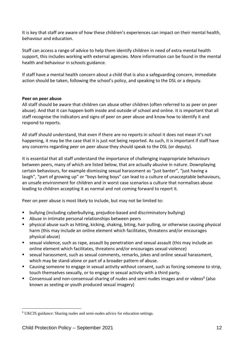It is key that staff are aware of how these children's experiences can impact on their mental health, behaviour and education.

Staff can access a range of advice to help them identify children in need of extra mental health support, this includes working with external agencies. More information can be found in the mental health and behaviour in schools guidance.

If staff have a mental health concern about a child that is also a safeguarding concern, immediate action should be taken, following the school's policy, and speaking to the DSL or a deputy.

### **Peer on peer abuse**

All staff should be aware that children can abuse other children (often referred to as peer on peer abuse). And that it can happen both inside and outside of school and online. It is important that all staff recognise the indicators and signs of peer on peer abuse and know how to identify it and respond to reports.

All staff should understand, that even if there are no reports in school it does not mean it's not happening, it may be the case that it is just not being reported. As such, it is important if staff have any concerns regarding peer on peer abuse they should speak to the DSL (or deputy).

It is essential that all staff understand the importance of challenging inappropriate behaviours between peers, many of which are listed below, that are actually abusive in nature. Downplaying certain behaviours, for example dismissing sexual harassment as "just banter", "just having a laugh", "part of growing up" or "boys being boys" can lead to a culture of unacceptable behaviours, an unsafe environment for children and in worst case scenarios a culture that normalises abuse leading to children accepting it as normal and not coming forward to report it.

Peer on peer abuse is most likely to include, but may not be limited to:

- bullying (including cyberbullying, prejudice-based and discriminatory bullying)
- Abuse in intimate personal relationships between peers
- physical abuse such as hitting, kicking, shaking, biting, hair pulling, or otherwise causing physical harm (this may include an online element which facilitates, threatens and/or encourages physical abuse)
- sexual violence, such as rape, assault by penetration and sexual assault (this may include an online element which facilitates, threatens and/or encourages sexual violence)
- sexual harassment, such as sexual comments, remarks, jokes and online sexual harassment, which may be stand-alone or part of a broader pattern of abuse.
- Causing someone to engage in sexual activity without consent, such as forcing someone to strip, touch themselves sexually, or to engage in sexual activity with a third party.
- Consensual and non-consensual sharing of nudes and semi nudes images and or videos<sup>6</sup> (also known as sexting or youth produced sexual imagery)

1

<sup>6</sup> UKCIS guidance: Sharing nudes and semi-nudes advice for education settings.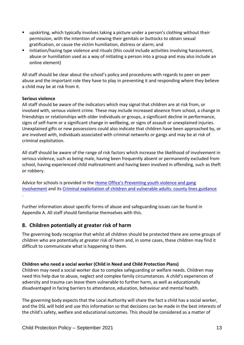- upskirting, which typically involves taking a picture under a person's clothing without their permission, with the intention of viewing their genitals or buttocks to obtain sexual gratification, or cause the victim humiliation, distress or alarm; and
- initiation/hazing type violence and rituals (this could include activities involving harassment, abuse or humiliation used as a way of initiating a person into a group and may also include an online element)

All staff should be clear about the school's policy and procedures with regards to peer on peer abuse and the important role they have to play in preventing it and responding where they believe a child may be at risk from it.

### **Serious violence**

All staff should be aware of the indicators which may signal that children are at risk from, or involved with, serious violent crime. These may include increased absence from school, a change in friendships or relationships with older individuals or groups, a significant decline in performance, signs of self-harm or a significant change in wellbeing, or signs of assault or unexplained injuries. Unexplained gifts or new possessions could also indicate that children have been approached by, or are involved with, individuals associated with criminal networks or gangs and may be at risk of criminal exploitation.

All staff should be aware of the range of risk factors which increase the likelihood of involvement in serious violence, such as being male, having been frequently absent or permanently excluded from school, having experienced child maltreatment and having been involved in offending, such as theft or robbery.

Advice for schools is provided in the [Home Office's Preventing yout](https://assets.publishing.service.gov.uk/government/uploads/system/uploads/attachment_data/file/418131/Preventing_youth_violence_and_gang_involvement_v3_March2015.pdf)h violence and gang [involvement](https://assets.publishing.service.gov.uk/government/uploads/system/uploads/attachment_data/file/418131/Preventing_youth_violence_and_gang_involvement_v3_March2015.pdf) and its [Criminal exploitation of children and vulnerable adults: county lines guidance](https://www.gov.uk/government/publications/criminal-exploitation-of-children-and-vulnerable-adults-county-lines) .

Further information about specific forms of abuse and safeguarding issues can be found in Appendix A. All staff should familiarise themselves with this.

# **8. Children potentially at greater risk of harm**

The governing body recognise that whilst all children should be protected there are some groups of children who are potentially at greater risk of harm and, in some cases, these children may find it difficult to communicate what is happening to them.

### **Children who need a social worker (Child in Need and Child Protection Plans)**

Children may need a social worker due to complex safeguarding or welfare needs. Children may need this help due to abuse, neglect and complex family circumstances. A child's experiences of adversity and trauma can leave them vulnerable to further harm, as well as educationally disadvantaged in facing barriers to attendance, education, behaviour and mental health.

The governing body expects that the Local Authority will share the fact a child has a social worker, and the DSL will hold and use this information so that decisions can be made in the best interests of the child's safety, welfare and educational outcomes. This should be considered as a matter of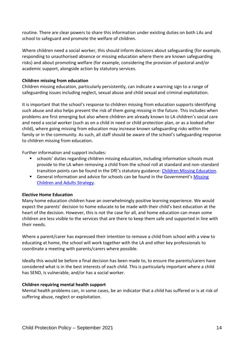routine. There are clear powers to share this information under existing duties on both LAs and school to safeguard and promote the welfare of children.

Where children need a social worker, this should inform decisions about safeguarding (for example, responding to unauthorised absence or missing education where there are known safeguarding risks) and about promoting welfare (for example, considering the provision of pastoral and/or academic support, alongside action by statutory services.

### **Children missing from education**

Children missing education, particularly persistently, can indicate a warning sign to a range of safeguarding issues including neglect, sexual abuse and child sexual and criminal exploitation.

It is important that the school's response to children missing from education supports identifying such abuse and also helps prevent the risk of them going missing in the future. This includes when problems are first emerging but also where children are already known to LA children's social care and need a social worker (such as on a child in need or child protection plan, or as a looked after child), where going missing from education may increase known safeguarding risks within the family or in the community. As such, all staff should be aware of the school's safeguarding response to children missing from education.

Further information and support includes:

- schools' duties regarding children missing education, including information schools must provide to the LA when removing a child from the school roll at standard and non-standard transition points can be found in the DfE's statutory guidance: [Children Missing Education.](https://assets.publishing.service.gov.uk/government/uploads/system/uploads/attachment_data/file/550416/Children_Missing_Education_-_statutory_guidance.pdf)
- General information and advice for schools can be found in the Government's Missing [Children and Adults Strategy.](https://assets.publishing.service.gov.uk/government/uploads/system/uploads/attachment_data/file/117793/missing-persons-strategy.pdf)

### **Elective Home Education**

Many home education children have an overwhelmingly positive learning experience. We would expect the parents' decision to home educate to be made with their child's best education at the heart of the decision. However, this is not the case for all, and home education can mean some children are less visible to the services that are there to keep them safe and supported in line with their needs.

Where a parent/carer has expressed their intention to remove a child from school with a view to educating at home, the school will work together with the LA and other key professionals to coordinate a meeting with parents/carers where possible.

Ideally this would be before a final decision has been made to, to ensure the parents/carers have considered what is in the best interests of each child. This is particularly important where a child has SEND, is vulnerable, and/or has a social worker.

### **Children requiring mental health support**

Mental health problems can, in some cases, be an indicator that a child has suffered or is at risk of suffering abuse, neglect or exploitation.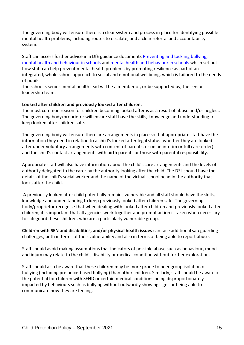The governing body will ensure there is a clear system and process in place for identifying possible mental health problems, including routes to escalate, and a clear referral and accountability system.

Staff can access further advice in a DfE guidance documents [Preventing and tackling bullying,](https://assets.publishing.service.gov.uk/government/uploads/system/uploads/attachment_data/file/623895/Preventing_and_tackling_bullying_advice.pdf)  [mental health and behaviour in schools](https://assets.publishing.service.gov.uk/government/uploads/system/uploads/attachment_data/file/623895/Preventing_and_tackling_bullying_advice.pdf) and [mental health and behaviour in schools](https://assets.publishing.service.gov.uk/government/uploads/system/uploads/attachment_data/file/755135/Mental_health_and_behaviour_in_schools__.pdf) which set out how staff can help prevent mental health problems by promoting resilience as part of an integrated, whole school approach to social and emotional wellbeing, which is tailored to the needs of pupils.

The school's senior mental health lead will be a member of, or be supported by, the senior leadership team.

### **Looked after children and previously looked after children.**

The most common reason for children becoming looked after is as a result of abuse and/or neglect. The governing body/proprietor will ensure staff have the skills, knowledge and understanding to keep looked after children safe.

The governing body will ensure there are arrangements in place so that appropriate staff have the information they need in relation to a child's looked after legal status (whether they are looked after under voluntary arrangements with consent of parents, or on an interim or full care order) and the child's contact arrangements with birth parents or those with parental responsibility.

Appropriate staff will also have information about the child's care arrangements and the levels of authority delegated to the carer by the authority looking after the child. The DSL should have the details of the child's social worker and the name of the virtual school head in the authority that looks after the child.

A previously looked after child potentially remains vulnerable and all staff should have the skills, knowledge and understanding to keep previously looked after children safe. The governing body/proprietor recognise that when dealing with looked after children and previously looked after children, it is important that all agencies work together and prompt action is taken when necessary to safeguard these children, who are a particularly vulnerable group.

**Children with SEN and disabilities, and/or physical health issues** can face additional safeguarding challenges, both in terms of their vulnerability and also in terms of being able to report abuse.

Staff should avoid making assumptions that indicators of possible abuse such as behaviour, mood and injury may relate to the child's disability or medical condition without further exploration.

Staff should also be aware that these children may be more prone to peer group isolation or bullying (including prejudice-based bullying) than other children. Similarly, staff should be aware of the potential for children with SEND or certain medical conditions being disproportionately impacted by behaviours such as bullying without outwardly showing signs or being able to communicate how they are feeling.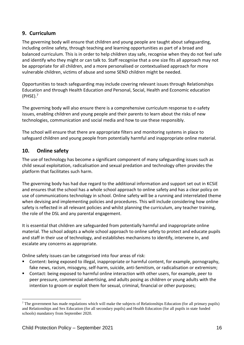# **9. Curriculum**

The governing body will ensure that children and young people are taught about safeguarding, including online safety, through teaching and learning opportunities as part of a broad and balanced curriculum. This is in order to help children stay safe, recognise when they do not feel safe and identify who they might or can talk to. Staff recognise that a one size fits all approach may not be appropriate for all children, and a more personalised or contextualised approach for more vulnerable children, victims of abuse and some SEND children might be needed.

Opportunities to teach safeguarding may include covering relevant issues through Relationships Education and through Health Education *and* Personal, Social, Health and Economic education  $(PHSE).<sup>7</sup>$ 

The governing body will also ensure there is a comprehensive curriculum response to e-safety issues, enabling children and young people and their parents to learn about the risks of new technologies, communication and social media and how to use these responsibly.

The school will ensure that there are appropriate filters and monitoring systems in place to safeguard children and young people from potentially harmful and inappropriate online material.

# **10. Online safety**

The use of technology has become a significant component of many safeguarding issues such as child sexual exploitation, radicalisation and sexual predation and technology often provides the platform that facilitates such harm.

The governing body has had due regard to the additional information and support set out in KCSiE and ensures that the school has a whole school approach to online safety and has a clear policy on use of communications technology in school. Online safety will be a running and interrelated theme when devising and implementing policies and procedures. This will include considering how online safety is reflected in all relevant policies and whilst planning the curriculum, any teacher training, the role of the DSL and any parental engagement.

It is essential that children are safeguarded from potentially harmful and inappropriate online material. The school adopts a whole school approach to online safety to protect and educate pupils and staff in their use of technology, and establishes mechanisms to identify, intervene in, and escalate any concerns as appropriate.

Online safety issues can be categorised into four areas of risk:

- Content: being exposed to illegal, inappropriate or harmful content, for example, pornography, fake news, racism, misogyny, self-harm, suicide, anti-Semitism, or radicalisation or extremism;
- Contact: being exposed to harmful online interaction with other users, for example, peer to peer pressure, commercial advertising, and adults posing as children or young adults with the intention to groom or exploit them for sexual, criminal, financial or other purposes;

<u>.</u>

<sup>&</sup>lt;sup>7</sup> The government has made regulations which will make the subjects of Relationships Education (for all primary pupils) and Relationships and Sex Education (for all secondary pupils) and Health Education (for all pupils in state funded schools) mandatory from September 2020.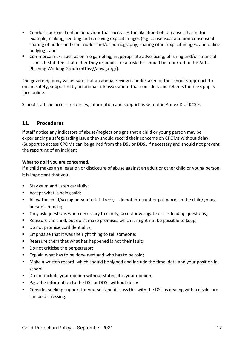- Conduct: personal online behaviour that increases the likelihood of, or causes, harm, for example, making, sending and receiving explicit images (e.g. consensual and non-consensual sharing of nudes and semi-nudes and/or pornography, sharing other explicit images, and online bullying); and
- Commerce: risks such as online gambling, inappropriate advertising, phishing and/or financial scams. If staff feel that either they or pupils are at risk this should be reported to the Anti-Phishing Working Group (https://apwg.org/).

The governing body will ensure that an annual review is undertaken of the school's approach to online safety, supported by an annual risk assessment that considers and reflects the risks pupils face online.

School staff can access resources, information and support as set out in Annex D of KCSiE.

### **11. Procedures**

If staff notice any indicators of abuse/neglect or signs that a child or young person may be experiencing a safeguarding issue they should record their concerns on CPOMs without delay. (Support to access CPOMs can be gained from the DSL or DDSL if necessary and should not prevent the reporting of an incident.

### **What to do if you are concerned.**

If a child makes an allegation or disclosure of abuse against an adult or other child or young person, it is important that you:

- Stay calm and listen carefully;
- Accept what is being said;
- Allow the child/young person to talk freely do not interrupt or put words in the child/young person's mouth;
- Only ask questions when necessary to clarify, do not investigate or ask leading questions;
- Reassure the child, but don't make promises which it might not be possible to keep;
- Do not promise confidentiality;
- Emphasise that it was the right thing to tell someone;
- Reassure them that what has happened is not their fault:
- Do not criticise the perpetrator;
- Explain what has to be done next and who has to be told:
- Make a written record, which should be signed and include the time, date and your position in school;
- Do not include your opinion without stating it is your opinion;
- Pass the information to the DSL or DDSL without delay
- Consider seeking support for yourself and discuss this with the DSL as dealing with a disclosure can be distressing.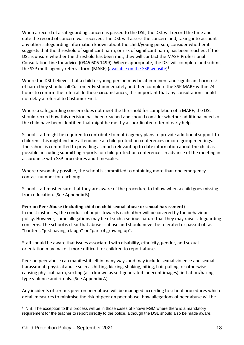When a record of a safeguarding concern is passed to the DSL, the DSL will record the time and date the record of concern was received. The DSL will assess the concern and, taking into account any other safeguarding information known about the child/young person, consider whether it suggests that the threshold of significant harm, or risk of significant harm, has been reached. If the DSL is unsure whether the threshold has been met, they will contact the MASH Professional Consultation Line for advice (0345 606 1499). Where appropriate, the DSL will complete and submit the SSP multi agency referral form (MARF) [\(available on the SSP](https://earlyhelpportal.suffolk.gov.uk/web/portal/pages/marf#h1) website)<sup>8</sup>.

Where the DSL believes that a child or young person may be at imminent and significant harm risk of harm they should call Customer First immediately and then complete the SSP MARF within 24 hours to confirm the referral. In these circumstances, it is important that any consultation should not delay a referral to Customer First.

Where a safeguarding concern does not meet the threshold for completion of a MARF, the DSL should record how this decision has been reached and should consider whether additional needs of the child have been identified that might be met by a coordinated offer of early help.

School staff might be required to contribute to multi-agency plans to provide additional support to children. This might include attendance at child protection conferences or core group meetings. The school is committed to providing as much relevant up to date information about the child as possible, including submitting reports for child protection conferences in advance of the meeting in accordance with SSP procedures and timescales.

Where reasonably possible, the school is committed to obtaining more than one emergency contact number for each pupil.

School staff must ensure that they are aware of the procedure to follow when a child goes missing from education. (See Appendix B)

### **Peer on Peer Abuse (Including child on child sexual abuse or sexual harassment)**

In most instances, the conduct of pupils towards each other will be covered by the behaviour policy. However, some allegations may be of such a serious nature that they may raise safeguarding concerns. The school is clear that abuse is abuse and should never be tolerated or passed off as "banter", "just having a laugh" or "part of growing up".

Staff should be aware that issues associated with disability, ethnicity, gender, and sexual orientation may make it more difficult for children to report abuse.

Peer on peer abuse can manifest itself in many ways and may include sexual violence and sexual harassment, physical abuse such as hitting, kicking, shaking, biting, hair pulling, or otherwise causing physical harm, sexting (also known as self-generated indecent images), initiation/hazing type violence and rituals. (See Appendix A)

Any incidents of serious peer on peer abuse will be managed according to school procedures which detail measures to minimise the risk of peer on peer abuse, how allegations of peer abuse will be

<sup>1</sup>  $8$  N.B. The exception to this process will be in those cases of known FGM where there is a mandatory requirement for the teacher to report directly to the police, although the DSL should also be made aware.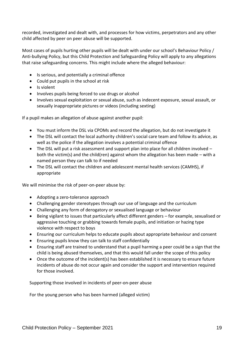recorded, investigated and dealt with, and processes for how victims, perpetrators and any other child affected by peer on peer abuse will be supported.

Most cases of pupils hurting other pupils will be dealt with under our school's Behaviour Policy / Anti-bullying Policy, but this Child Protection and Safeguarding Policy will apply to any allegations that raise safeguarding concerns. This might include where the alleged behaviour:

- Is serious, and potentially a criminal offence
- Could put pupils in the school at risk
- Is violent
- Involves pupils being forced to use drugs or alcohol
- Involves sexual exploitation or sexual abuse, such as indecent exposure, sexual assault, or sexually inappropriate pictures or videos (including sexting)

If a pupil makes an allegation of abuse against another pupil:

- You must inform the DSL via CPOMs and record the allegation, but do not investigate it
- The DSL will contact the local authority children's social care team and follow its advice, as well as the police if the allegation involves a potential criminal offence
- The DSL will put a risk assessment and support plan into place for all children involved both the victim(s) and the child(ren) against whom the allegation has been made – with a named person they can talk to if needed
- The DSL will contact the children and adolescent mental health services (CAMHS), if appropriate

We will minimise the risk of peer-on-peer abuse by:

- Adopting a zero-tolerance approach
- Challenging gender stereotypes through our use of language and the curriculum
- Challenging any form of derogatory or sexualised language or behaviour
- Being vigilant to issues that particularly affect different genders for example, sexualised or aggressive touching or grabbing towards female pupils, and initiation or hazing type violence with respect to boys
- Ensuring our curriculum helps to educate pupils about appropriate behaviour and consent
- Ensuring pupils know they can talk to staff confidentially
- Ensuring staff are trained to understand that a pupil harming a peer could be a sign that the child is being abused themselves, and that this would fall under the scope of this policy
- Once the outcome of the incident(s) has been established it is necessary to ensure future incidents of abuse do not occur again and consider the support and intervention required for those involved.

Supporting those involved in incidents of peer-on-peer abuse

For the young person who has been harmed (alleged victim)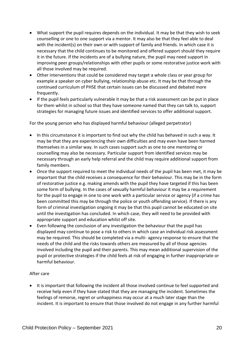- What support the pupil requires depends on the individual. It may be that they wish to seek counselling or one to one support via a mentor. It may also be that they feel able to deal with the incident(s) on their own or with support of family and friends. In which case it is necessary that the child continues to be monitored and offered support should they require it in the future. If the incidents are of a bullying nature, the pupil may need support in improving peer groups/relationships with other pupils or some restorative justice work with all those involved may be required.
- Other interventions that could be considered may target a whole class or year group for example a speaker on cyber bullying, relationship abuse etc. It may be that through the continued curriculum of PHSE that certain issues can be discussed and debated more frequently.
- If the pupil feels particularly vulnerable it may be that a risk assessment can be put in place for them whilst in school so that they have someone named that they can talk to, support strategies for managing future issues and identified services to offer additional support.

For the young person who has displayed harmful behaviour (alleged perpetrator)

- In this circumstance it is important to find out why the child has behaved in such a way. It may be that they are experiencing their own difficulties and may even have been harmed themselves in a similar way. In such cases support such as one to one mentoring or counselling may also be necessary. Particular support from identified services may be necessary through an early help referral and the child may require additional support from family members.
- Once the support required to meet the individual needs of the pupil has been met, it may be important that the child receives a consequence for their behaviour. This may be in the form of restorative justice e.g. making amends with the pupil they have targeted if this has been some form of bullying. In the cases of sexually harmful behaviour it may be a requirement for the pupil to engage in one to one work with a particular service or agency (if a crime has been committed this may be through the police or youth offending service). If there is any form of criminal investigation ongoing it may be that this pupil cannot be educated on site until the investigation has concluded. In which case, they will need to be provided with appropriate support and education whilst off site.
- Even following the conclusion of any investigation the behaviour that the pupil has displayed may continue to pose a risk to others in which case an individual risk assessment may be required. This should be completed via a multi- agency response to ensure that the needs of the child and the risks towards others are measured by all of those agencies involved including the pupil and their parents. This may mean additional supervision of the pupil or protective strategies if the child feels at risk of engaging in further inappropriate or harmful behaviour.

### After care

• It is important that following the incident all those involved continue to feel supported and receive help even if they have stated that they are managing the incident. Sometimes the feelings of remorse, regret or unhappiness may occur at a much later stage than the incident. It is important to ensure that those involved do not engage in any further harmful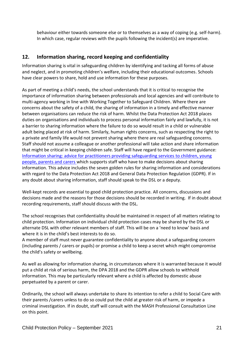behaviour either towards someone else or to themselves as a way of coping (e.g. self-harm). In which case, regular reviews with the pupils following the incident(s) are imperative.

# **12. Information sharing, record keeping and confidentiality**

Information sharing is vital in safeguarding children by identifying and tacking all forms of abuse and neglect, and in promoting children's welfare, including their educational outcomes. Schools have clear powers to share, hold and use information for these purposes.

As part of meeting a child's needs, the school understands that it is critical to recognise the importance of information sharing between professionals and local agencies and will contribute to multi-agency working in line with Working Together to Safeguard Children. Where there are concerns about the safety of a child, the sharing of information in a timely and effective manner between organisations can reduce the risk of harm. Whilst the Data Protection Act 2018 places duties on organisations and individuals to process personal information fairly and lawfully, it is not a barrier to sharing information where the failure to do so would result in a child or vulnerable adult being placed at risk of harm. Similarly, human rights concerns, such as respecting the right to a private and family life would not prevent sharing where there are real safeguarding concerns. Staff should not assume a colleague or another professional will take action and share information that might be critical in keeping children safe. Staff will have regard to the Government guidance: [Information sharing: advice for practitioners providing safeguarding services](https://assets.publishing.service.gov.uk/government/uploads/system/uploads/attachment_data/file/721581/Information_sharing_advice_practitioners_safeguarding_services.pdf) to children, young [people, parents and carers w](https://assets.publishing.service.gov.uk/government/uploads/system/uploads/attachment_data/file/721581/Information_sharing_advice_practitioners_safeguarding_services.pdf)hich supports staff who have to make decisions about sharing information. This advice includes the seven golden rules for sharing information and considerations with regard to the Data Protection Act 2018 and General Data Protection Regulation (GDPR). If in any doubt about sharing information, staff should speak to the DSL or a deputy.

Well-kept records are essential to good child protection practice. All concerns, discussions and decisions made and the reasons for those decisions should be recorded in writing. If in doubt about recording requirements, staff should discuss with the DSL.

The school recognises that confidentiality should be maintained in respect of all matters relating to child protection. Information on individual child protection cases may be shared by the DSL or alternate DSL with other relevant members of staff. This will be on a 'need to know' basis and where it is in the child's best interests to do so.

A member of staff must never guarantee confidentiality to anyone about a safeguarding concern (including parents / carers or pupils) or promise a child to keep a secret which might compromise the child's safety or wellbeing.

As well as allowing for information sharing, in circumstances where it is warranted because it would put a child at risk of serious harm, the DPA 2018 and the GDPR allow schools to withhold information. This may be particularly relevant where a child is affected by domestic abuse perpetuated by a parent or carer.

Ordinarily, the school will always undertake to share its intention to refer a child to Social Care with their parents /carers unless to do so could put the child at greater risk of harm, or impede a criminal investigation. If in doubt, staff will consult with the MASH Professional Consultation Line on this point.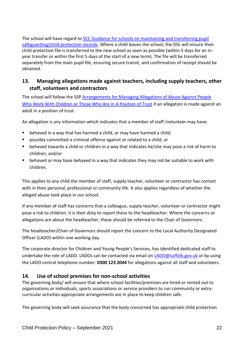The school will have regard to [SCC Guidance for schools on maintaining and transferring pupil](https://d.docs.live.net/7a62324088aaf90b/1%20Bures/Safeguarding/KCSiE%20Sept%202021/wa_29-8-2019-101753_Guidance_for_schools_on_maintaining_pupil_safeguarding_Sept_2019.pdf)  [safeguarding/child protection records.](https://d.docs.live.net/7a62324088aaf90b/1%20Bures/Safeguarding/KCSiE%20Sept%202021/wa_29-8-2019-101753_Guidance_for_schools_on_maintaining_pupil_safeguarding_Sept_2019.pdf) Where a child leaves the school, the DSL will ensure their child protection file is transferred to the new school as soon as possible (within 5 days for an inyear transfer or within the first 5 days of the start of a new term). The file will be transferred separately from the main pupil file, ensuring secure transit, and confirmation of receipt should be obtained.

# **13. Managing allegations made against teachers, including supply teachers, other staff, volunteers and contractors**

The school will follow the SSP [Arrangements for Managing Allegations of Abuse Against People](https://suffolksp.org.uk/assets/Working-with-Children-Adults/LADO/2019-12-10-Arrangements-for-Managing-Allegations-of-Abuse-v9.pdf)  [Who Work With Children or Those Who Are in](https://suffolksp.org.uk/assets/Working-with-Children-Adults/LADO/2019-12-10-Arrangements-for-Managing-Allegations-of-Abuse-v9.pdf) A Position of Trust if an allegation is made against an adult in a position of trust.

An allegation is any information which indicates that a member of staff /volunteer may have:

- behaved in a way that has harmed a child, or may have harmed a child;
- possibly committed a criminal offence against or related to a child; or
- behaved towards a child or children in a way that indicates he/she may pose a risk of harm to children; and/or
- behaved or may have behaved in a way that indicates they may not be suitable to work with children.

This applies to any child the member of staff, supply teacher, volunteer or contractor has contact with in their personal, professional or community life. It also applies regardless of whether the alleged abuse took place in our school.

If any member of staff has concerns that a colleague, supply teacher, volunteer or contractor might pose a risk to children, it is their duty to report these to the headteacher. Where the concerns or allegations are about the headteacher, these should be referred to the Chair of Governors.

The headteacher/Chair of Governors should report the concern to the Local Authority Designated Officer (LADO) within one working day.

The corporate director for Children and Young People's Services, has identified dedicated staff to undertake the role of LADO. LADOs can be contacted via email on [LADO@suffolk.gov.uk](mailto:LADO@suffolk.gov.uk) or by using the LADO central telephone number: **0300 123 2044** for allegations against all staff and volunteers.

### **14. Use of school premises for non-school activities**

The governing body/ will ensure that where school facilities/premises are hired or rented out to organisations or individuals, sports associations or service providers to run community or extracurricular activities appropriate arrangements are in place to keep children safe.

The governing body will seek assurance that the body concerned has appropriate child protection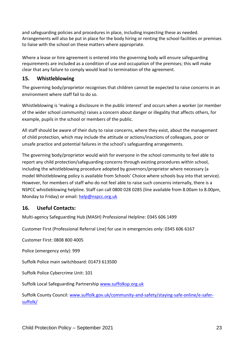and safeguarding policies and procedures in place, including inspecting these as needed. Arrangements will also be put in place for the body hiring or renting the school facilities or premises to liaise with the school on these matters where appropriate.

Where a lease or hire agreement is entered into the governing body will ensure safeguarding requirements are included as a condition of use and occupation of the premises; this will make clear that any failure to comply would lead to termination of the agreement.

# **15. Whistleblowing**

The governing body/proprietor recognises that children cannot be expected to raise concerns in an environment where staff fail to do so.

Whistleblowing is 'making a disclosure in the public interest' and occurs when a worker (or member of the wider school community) raises a concern about danger or illegality that affects others, for example, pupils in the school or members of the public.

All staff should be aware of their duty to raise concerns, where they exist, about the management of child protection, which may include the attitude or actions/inactions of colleagues, poor or unsafe practice and potential failures in the school's safeguarding arrangements.

The governing body/proprietor would wish for everyone in the school community to feel able to report any child protection/safeguarding concerns through existing procedures within school, including the whistleblowing procedure adopted by governors/proprietor where necessary (a model Whistleblowing policy is available from Schools' Choice where schools buy into that service). However, for members of staff who do not feel able to raise such concerns internally, there is a NSPCC whistleblowing helpline. Staff can call 0800 028 0285 (line available from 8.00am to 8.00pm, Monday to Friday) or email: [help@nspcc.org.uk](mailto:help@nspcc.org.uk)

# **16. Useful Contacts:**

Multi-agency Safeguarding Hub (MASH) Professional Helpline: 0345 606 [1499](tel:00443456061499)

Customer First (Professional Referral Line) for use in emergencies only: [0345](tel:00443456066167) 606 6167

Customer First: 0808 800 4005

Police (emergency only): 999

Suffolk Police main switchboard: 01473 613500

Suffolk Police Cybercrime Unit: 101

Suffolk Local Safeguarding Partnership [www.suffolksp.org.uk](http://www.suffolksp.org.uk/)

Suffolk County Council[: www.suffolk.gov.uk/community-and-safety/staying-safe-online/e-safer](http://www.suffolk.gov.uk/community-and-safety/staying-safe-online/e-safer-suffolk/)[suffolk/](http://www.suffolk.gov.uk/community-and-safety/staying-safe-online/e-safer-suffolk/)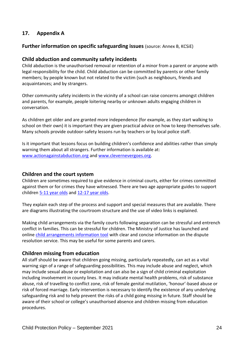# **17. Appendix A**

### **Further information on specific safeguarding issues** (source: Annex B, KCSiE)

### **Child abduction and community safety incidents**

Child abduction is the unauthorised removal or retention of a minor from a parent or anyone with legal responsibility for the child. Child abduction can be committed by parents or other family members; by people known but not related to the victim (such as neighbours, friends and acquaintances; and by strangers.

Other community safety incidents in the vicinity of a school can raise concerns amongst children and parents, for example, people loitering nearby or unknown adults engaging children in conversation.

As children get older and are granted more independence (for example, as they start walking to school on their own) it is important they are given practical advice on how to keep themselves safe. Many schools provide outdoor-safety lessons run by teachers or by local police staff.

Is it important that lessons focus on building children's confidence and abilities rather than simply warning them about all strangers. Further information is available at: [www.actionagainstabduction.org](http://www.actionagainstabduction.org/) and [www.clevernevergoes.org.](https://clevernevergoes.org/)

### **Children and the court system**

Children are sometimes required to give evidence in criminal courts, either for crimes committed against them or for crimes they have witnessed. There are two age appropriate guides to support children [5-11 year olds](https://www.gov.uk/government/publications/young-witness-booklet-for-5-to-11-year-olds) and [12-17 year olds.](https://www.gov.uk/government/publications/young-witness-booklet-for-12-to-17-year-olds)

They explain each step of the process and support and special measures that are available. There are diagrams illustrating the courtroom structure and the use of video links is explained.

Making child arrangements via the family courts following separation can be stressful and entrench conflict in families. This can be stressful for children. The Ministry of Justice has launched and online [child arrangements information tool](https://helpwithchildarrangements.service.justice.gov.uk/) with clear and concise information on the dispute resolution service. This may be useful for some parents and carers.

### **Children missing from education**

All staff should be aware that children going missing, particularly repeatedly, can act as a vital warning sign of a range of safeguarding possibilities. This may include abuse and neglect, which may include sexual abuse or exploitation and can also be a sign of child criminal exploitation including involvement in county lines. It may indicate mental health problems, risk of substance abuse, risk of travelling to conflict zone, risk of female genital mutilation, 'honour'-based abuse or risk of forced marriage. Early intervention is necessary to identify the existence of any underlying safeguarding risk and to help prevent the risks of a child going missing in future. Staff should be aware of their school or college's unauthorised absence and children missing from education procedures.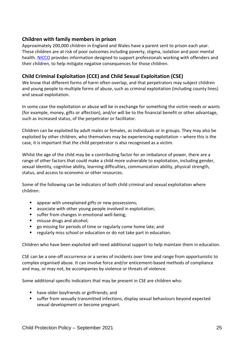# **Children with family members in prison**

Approximately 200,000 children in England and Wales have a parent sent to prison each year. These children are at risk of poor outcomes including poverty, stigma, isolation and poor mental health. [NICCO](https://www.nicco.org.uk/) provides information designed to support professionals working with offenders and their children, to help mitigate negative consequences for those children.

# **Child Criminal Exploitation (CCE) and Child Sexual Exploitation (CSE)**

We know that different forms of harm often overlap, and that perpetrators may subject children and young people to multiple forms of abuse, such as criminal exploitation (including county lines) and sexual exploitation.

In some case the exploitation or abuse will be in exchange for something the victim needs or wants (for example, money, gifts or affection), and/or will be to the financial benefit or other advantage, such as increased status, of the perpetrator or facilitator.

Children can be exploited by adult males or females, as individuals or in groups. They may also be exploited by other children, who themselves may be experiencing exploitation – where this is the case, it is important that the child perpetrator is also recognised as a victim.

Whilst the age of the child may be a contributing factor for an imbalance of power, there are a range of other factors that could make a child more vulnerable to exploitation, including gender, sexual identity, cognitive ability, learning difficulties, communication ability, physical strength, status, and access to economic or other resources.

Some of the following can be indicators of both child criminal and sexual exploitation where children:

- appear with unexplained gifts or new possessions;
- associate with other young people involved in exploitation;
- suffer from changes in emotional well-being;
- misuse drugs and alcohol;
- go missing for periods of time or regularly come home late; and
- regularly miss school or education or do not take part in education.

Children who have been exploited will need additional support to help maintain them in education.

CSE can be a one-off occurrence or a series of incidents over time and range from opportunistic to complex organised abuse. It can involve force and/or enticement-based methods of compliance and may, or may not, be accompanies by violence or threats of violence.

Some additional specific indicators that may be present in CSE are children who:

- have older boyfriends or girlfriends; and
- suffer from sexually transmitted infections, display sexual behaviours beyond expected sexual development or become pregnant.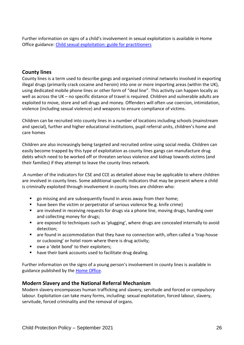Further information on signs of a child's involvement in sexual exploitation is available in Home Office guidance: [Child sexual exploitation: guide for practitioners](https://assets.publishing.service.gov.uk/government/uploads/system/uploads/attachment_data/file/591903/CSE_Guidance_Core_Document_13.02.2017.pdf)

## **County lines**

County lines is a term used to describe gangs and organised criminal networks involved in exporting illegal drugs (primarily crack cocaine and heroin) into one or more importing areas (within the UK), using dedicated mobile phone lines or other form of "deal line". This activity can happen locally as well as across the UK – no specific distance of travel is required. Children and vulnerable adults are exploited to move, store and sell drugs and money. Offenders will often use coercion, intimidation, violence (including sexual violence) and weapons to ensure compliance of victims.

Children can be recruited into county lines in a number of locations including schools (mainstream and special), further and higher educational institutions, pupil referral units, children's home and care homes

Children are also increasingly being targeted and recruited online using social media. Children can easily become trapped by this type of exploitation as county lines gangs can manufacture drug debts which need to be worked off or threaten serious violence and kidnap towards victims (and their families) if they attempt to leave the county lines network.

.A number of the indicators for CSE and CCE as detailed above may be applicable to where children are involved in county lines. Some additional specific indicators that may be present where a child is criminally exploited through involvement in county lines are children who:

- go missing and are subsequently found in areas away from their home;
- have been the victim or perpetrator of serious violence 9e.g. knife crime)
- are involved in receiving requests for drugs via a phone line, moving drugs, handing over and collecting money for drugs;
- are exposed to techniques such as 'plugging', where drugs are concealed internally to avoid detection;
- are found in accommodation that they have no connection with, often called a 'trap house or cuckooing' or hotel room where there is drug activity;
- owe a 'debt bond' to their exploiters;
- have their bank accounts used to facilitate drug dealing.

Further information on the signs of a young person's involvement in county lines is available in guidance published by the [Home Office.](https://assets.publishing.service.gov.uk/government/uploads/system/uploads/attachment_data/file/863323/HOCountyLinesGuidance_-_Sept2018.pdf)

### **Modern Slavery and the National Referral Mechanism**

Modern slavery encompasses human trafficking and slavery, servitude and forced or compulsory labour. Exploitation can take many forms, including: sexual exploitation, forced labour, slavery, servitude, forced criminality and the removal of organs.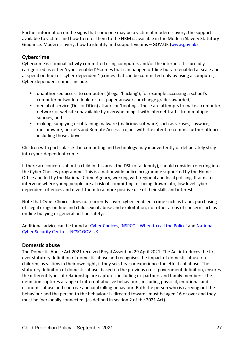Further information on the signs that someone may be a victim of modern slavery, the support available to victims and how to refer them to the NRM is available in the Modern Slavery Statutory Guidance. Modern slavery: how to identify and support victims – GOV.UK [\(www.gov.uk\)](http://www.gov.uk/)

### **Cybercrime**

Cybercrime is criminal activity committed using computers and/or the internet. It is broadly categorised as either 'cyber-enabled' 9crimes that can happen off-line but are enabled at scale and at speed on-line) or 'cyber-dependent' (crimes that can be committed only by using a computer). Cyber-dependent crimes include:

- unauthorised access to computers (illegal 'hacking'), for example accessing a school's computer network to look for test paper answers or change grades awarded;
- denial of service (Dos or DDos) attacks or 'booting'. These are attempts to make a computer, network or website unavailable by overwhelming it with internet traffic from multiple sources; and
- making, supplying or obtaining malware (malicious software) such as viruses, spyware, ransomware, botnets and Remote Access Trojans with the intent to commit further offence, including those above.

Children with particular skill in computing and technology may inadvertently or deliberately stray into cyber-dependent crime.

If there are concerns about a child in this area, the DSL (or a deputy), should consider referring into the Cyber Choices programme. This is a nationwide police programme supported by the Home Office and led by the National Crime Agency, working with regional and local policing. It aims to intervene where young people are at risk of committing, or being drawn into, low level cyberdependent offences and divert them to a more positive use of their skills and interests.

Note that Cyber Choices does not currently cover 'cyber-enabled' crime such as fraud, purchasing of illegal drugs on-line and child sexual abuse and exploitation, not other areas of concern such as on-line bullying or general on-line safety.

Additional advice can be found at [Cyber Choices,](https://nationalcrimeagency.gov.uk/what-we-do/crime-threats/cyber-crime/cyberchoices) 'NSPCC - [When to call the Police'](https://www.npcc.police.uk/documents/Children%20and%20Young%20people/When%20to%20call%20the%20police%20guidance%20for%20schools%20and%20colleges.pdf) and National [Cyber Security Centre](https://www.ncsc.gov.uk/) – NCSC.GOV.UK

### **Domestic abuse**

The Domestic Abuse Act 2021 received Royal Assent on 29 April 2021. The Act introduces the first ever statutory definition of domestic abuse and recognises the impact of domestic abuse on children, as victims in their own right, if they see, hear or experience the effects of abuse. The statutory definition of domestic abuse, based on the previous cross-government definition, ensures the different types of relationship are captures, including ex-partners and family members. The definition captures a range of different abusive behaviours, including physical, emotional and economic abuse and coercive and controlling behaviour. Both the person who is carrying out the behaviour and the person to the behaviour is directed towards must be aged 16 or over and they must be 'personally connected' (as defined in section 2 of the 2021 Act).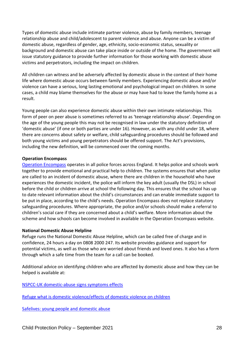Types of domestic abuse include intimate partner violence, abuse by family members, teenage relationship abuse and child/adolescent to parent violence and abuse. Anyone can be a victim of domestic abuse, regardless of gender, age, ethnicity, socio-economic status, sexuality or background and domestic abuse can take place inside or outside of the home. The government will issue statutory guidance to provide further information for those working with domestic abuse victims and perpetrators, including the impact on children.

All children can witness and be adversely affected by domestic abuse in the context of their home life where domestic abuse occurs between family members. Experiencing domestic abuse and/or violence can have a serious, long lasting emotional and psychological impact on children. In some cases, a child may blame themselves for the abuse or may have had to leave the family home as a result.

Young people can also experience domestic abuse within their own intimate relationships. This form of peer on peer abuse is sometimes referred to as 'teenage relationship abuse'. Depending on the age of the young people this may not be recognised in law under the statutory definition of 'domestic abuse' (if one or both parties are under 16). However, as with any child under 18, where there are concerns about safety or welfare, child safeguarding procedures should be followed and both young victims and young perpetrators should be offered support. The Act's provisions, including the new definition, will be commenced over the coming months.

#### **Operation Encompass**

[Operation Encompass](https://www.operationencompass.org/) operates in all police forces across England. It helps police and schools work together to provide emotional and practical help to children. The systems ensures that when police are called to an incident of domestic abuse, where there are children in the household who have experiences the domestic incident, the police will inform the key adult (usually the DSL) in school before the child or children arrive at school the following day. This ensures that the school has up to date relevant information about the child's circumstances and can enable immediate support to be put in place, according to the child's needs. Operation Encompass does not replace statutory safeguarding procedures. Where appropriate, the police and/or schools should make a referral to children's social care if they are concerned about a child's welfare. More information about the scheme and how schools can become involved in available in the Operation Encompass website.

#### **National Domestic Abuse Helpline**

Refuge runs the National Domestic Abuse Helpline, which can be called free of charge and in confidence, 24 hours a day on 0808 2000 247. Its website provides guidance and support for potential victims, as well as those who are worried about friends and loved ones. It also has a form through which a safe time from the team for a call can be booked.

Additional advice on identifying children who are affected by domestic abuse and how they can be helped is available at:

[NSPCC-UK domestic-abuse signs symptoms effects](https://www.nspcc.org.uk/preventing-abuse/child-abuse-and-neglect/domestic-abuse/signs-symptoms-effects/)

[Refuge what is domestic violence/effects of domestic violence on children](http://www.refuge.org.uk/get-help-now/support-for-women/what-about-my-children/)

[Safelives: young people and domestic abuse](http://www.safelives.org.uk/knowledge-hub/spotlights/spotlight-3-young-people-and-domestic-abuse)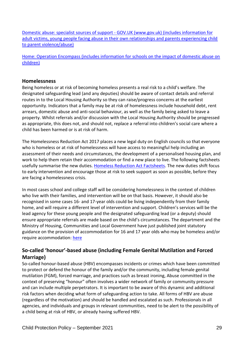Domestic abuse: specialist sources of support - [GOV.UK \(www.gov.uk\) \(includes information for](https://www.gov.uk/government/publications/domestic-abuse-get-help-for-specific-needs-or-situations/domestic-abuse-specialist-sources-of-support)  [adult victims, young people facing abuse in their own relationships and parents experiencing child](https://www.gov.uk/government/publications/domestic-abuse-get-help-for-specific-needs-or-situations/domestic-abuse-specialist-sources-of-support)  [to parent violence/abuse\)](https://www.gov.uk/government/publications/domestic-abuse-get-help-for-specific-needs-or-situations/domestic-abuse-specialist-sources-of-support)

[Home: Operation Encompass \(includes information for schools on the impact of domestic abuse on](https://www.operationencompass.org/)  [children\)](https://www.operationencompass.org/)

### **Homelessness**

Being homeless or at risk of becoming homeless presents a real risk to a child's welfare. The designated safeguarding lead (and any deputies) should be aware of contact details and referral routes in to the Local Housing Authority so they can raise/progress concerns at the earliest opportunity. Indicators that a family may be at risk of homelessness include household debt, rent arrears, domestic abuse and anti-social behaviour, as well as the family being asked to leave a property. Whilst referrals and/or discussion with the Local Housing Authority should be progressed as appropriate, this does not, and should not, replace a referral into children's social care where a child has been harmed or is at risk of harm.

The Homelessness Reduction Act 2017 places a new legal duty on English councils so that everyone who is homeless or at risk of homelessness will have access to meaningful help including an assessment of their needs and circumstances, the development of a personalised housing plan, and work to help them retain their accommodation or find a new place to live. The following factsheets usefully summarise the new duties. [Homeless Reduction Act Factsheets.](https://www.gov.uk/government/publications/homelessness-reduction-bill-policy-factsheets) The new duties shift focus to early intervention and encourage those at risk to seek support as soon as possible, before they are facing a homelessness crisis.

In most cases school and college staff will be considering homelessness in the context of children who live with their families, and intervention will be on that basis. However, it should also be recognised in some cases 16- and 17-year olds could be living independently from their family home, and will require a different level of intervention and support. Children's services will be the lead agency for these young people and the designated safeguarding lead (or a deputy) should ensure appropriate referrals are made based on the child's circumstances. The department and the Ministry of Housing, Communities and Local Government have just published joint statutory guidance on the provision of accommodation for 16 and 17 year olds who may be homeless and/or require accommodation: [here](https://www.gov.uk/government/publications/homelessness-reduction-bill-policy-factsheets)

# **So-called 'honour'-based abuse (including Female Genital Mutilation and Forced Marriage)**

So-called honour-based abuse (HBV) encompasses incidents or crimes which have been committed to protect or defend the honour of the family and/or the community, including female genital mutilation (FGM), forced marriage, and practices such as breast ironing, Abuse committed in the context of preserving "honour" often involves a wider network of family or community pressure and can include multiple perpetrators. It is important to be aware of this dynamic and additional risk factors when deciding what form of safeguarding action to take. All forms of HBV are abuse (regardless of the motivation) and should be handled and escalated as such. Professionals in all agencies, and individuals and groups in relevant communities, need to be alert to the possibility of a child being at risk of HBV, or already having suffered HBV.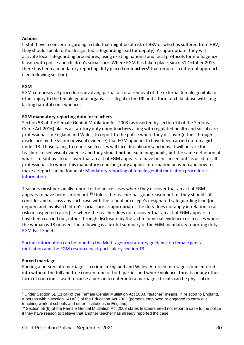### **Actions**

If staff have a concern regarding a child that might be at risk of HBV or who has suffered from HBV, they should speak to the designated safeguarding lead (or deputy). As appropriate, they will activate local safeguarding procedures, using existing national and local protocols for multiagency liaison with police and children's social care. Where FGM has taken place, since 31 October 2015 there has been a mandatory reporting duty placed on **teachers<sup>9</sup>** that requires a different approach (see following section).

### **FGM**

FGM comprises all procedures involving partial or total removal of the external female genitalia or other injury to the female genital organs. It is illegal in the UK and a form of child abuse with longlasting harmful consequences.

### **FGM mandatory reporting duty for teachers**

Section 5B of the Female Genital Mutilation Act 2003 (as inserted by section 74 of the Serious Crime Act 2016) places a statutory duty upon **teachers** along with regulated health and social care professionals in England and Wales, to report to the police where they discover (either through disclosure by the victim or visual evidence) that FGM appears to have been carried out on a girl under 18. Those failing to report such cases will face disciplinary sanctions. It will be rare for teachers to see visual evidence and they should **not** be examining pupils, but the same definition of what is meant by "to discover that an act of FGM appears to have been carried out" is used for all professionals to whom this mandatory reporting duty applies. Information on when and how to make a report can be found at: [Mandatory reporting of female genital mutilation procedural](https://www.gov.uk/government/publications/mandatory-reporting-of-female-genital-mutilation-procedural-information)  [information.](https://www.gov.uk/government/publications/mandatory-reporting-of-female-genital-mutilation-procedural-information)

Teachers **must** personally report to the police cases where they discover that an act of FGM appears to have been carried out.<sup>10</sup> Unless the teacher has good reason not to, they should still consider and discuss any such case with the school or college's designated safeguarding lead (or deputy) and involve children's social care as appropriate. The duty does not apply in relation to at risk or suspected cases (i.e. where the teacher does not discover that an act of FGM appears to have been carried out, either through disclosure by the victim or visual evidence) or in cases where the woman is 18 or over. The following is a useful summary of the FGM mandatory reporting duty: **[FGM Fact Sheet.](https://assets.publishing.service.gov.uk/government/uploads/system/uploads/attachment_data/file/496415/6_1639_HO_SP_FGM_mandatory_reporting_Fact_sheet_Web.pdf)** 

[Further information can be found in the Multi-agency statutory guidance on female genital](https://assets.publishing.service.gov.uk/government/uploads/system/uploads/attachment_data/file/912996/6-1914-HO-Multi_Agency_Statutory_Guidance_on_FGM__-_MASTER_V7_-_FINAL__July_2020.pdf)  mutilation and the FGM [resource pack particularly section 13.](https://assets.publishing.service.gov.uk/government/uploads/system/uploads/attachment_data/file/912996/6-1914-HO-Multi_Agency_Statutory_Guidance_on_FGM__-_MASTER_V7_-_FINAL__July_2020.pdf)

#### **Forced marriage**

1

Forcing a person into marriage is a crime in England and Wales. A forced marriage is one entered into without the full and free consent one or both parties and where violence, threats or any other form of coercion is used to cause a person to enter into a marriage. Threats can be physical or

<sup>9</sup> Under Section 5B(11)(a) of the Female Genital Mutilation Act 2003, "teacher" means, in relation to England, a person within section 141A(1) of the Education Act 2002 (persons employed or engaged to carry out teaching work at schools and other institutions in England).

 $10$  Section 5B(6) of the Female Genital Mutilation Act 2003 states teachers need not report a case to the police if they have reason to believe that another teacher has already reported the case.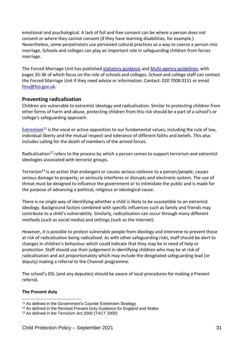emotional and psychological. A lack of full and free consent can be where a person does not consent or where they cannot consent (if they have learning disabilities, for example.) Nevertheless, some perpetrators use perceived cultural practices as a way to coerce a person into marriage, Schools and colleges can play an important role in safeguarding children from forces marriage.

The Forced Marriage Unit has published [statutory guidance](https://assets.publishing.service.gov.uk/government/uploads/system/uploads/attachment_data/file/322310/HMG_Statutory_Guidance_publication_180614_Final.pdf) and [Multi-agency guidelines,](https://assets.publishing.service.gov.uk/government/uploads/system/uploads/attachment_data/file/322307/HMG_MULTI_AGENCY_PRACTICE_GUIDELINES_v1_180614_FINAL.pdf) with pages 35-36 of which focus on the role of schools and colleges. School and college staff can contact the Forced Marriage Unit if they need advice or information: Contact: 020 7008 0151 or email [fmu@fco.gov.uk.](mailto:fmu@fco.gov.uk)

### **Preventing radicalisation**

Children are vulnerable to extremist ideology and radicalisation. Similar to protecting children from other forms of harm and abuse, protecting children from this risk should be a part of a school's or college's safeguarding approach.

[Extremism](https://assets.publishing.service.gov.uk/government/uploads/system/uploads/attachment_data/file/470088/51859_Cm9148_Accessible.pdf)<sup>11</sup> is the vocal or active opposition to our fundamental values, including the rule of law, individual liberty and the mutual respect and tolerance of different faiths and beliefs. This also includes calling for the death of members of the armed forces.

Radicalisation<sup>12</sup> refers to the process by which a person comes to support terrorism and extremist ideologies associated with terrorist groups.

Terrorism<sup>13</sup> is an action that endangers or causes serious violence to a person/people; causes serious damage to property; or seriously interferes or disrupts and electronic system. The use of threat must be designed to influence the government or to intimidate the public and is made for the purpose of advancing a political, religious or ideological cause.

There is no single way of identifying whether a child is likely to be susceptible to an extremist ideology. Background factors combined with specific influences such as family and friends may contribute to a child's vulnerability. Similarly, radicalisation can occur through many different methods (such as social media) and settings (such as the internet).

However, it is possible to protect vulnerable people from ideology and intervene to prevent those at risk of radicalisation being radicalised. As with other safeguarding risks, staff should be alert to changes in children's behaviour which could indicate that they may be in need of help or protection. Staff should use their judgement in identifying children who may be at risk of radicalisation and act proportionately which may include the designated safeguarding lead (or deputy) making a referral to the Channel programme.

The school's DSL (and any deputies) should be aware of local procedures for making a Prevent referral.

### **The Prevent duty**

<sup>&</sup>lt;u>.</u> <sup>11</sup> As defined in the Government's Counter Extremism Strategy

<sup>&</sup>lt;sup>12</sup> As defined in the Revised Prevent Duty Guidance for England and Wales

<sup>13</sup> As defined in the Terrorism Act 2000 (TACT 2000)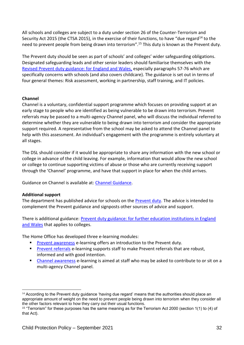All schools and colleges are subject to a duty under section 26 of the Counter-Terrorism and Security Act 2015 (the CTSA 2015), in the exercise of their functions, to have "due regard<sup>14</sup> to the need to prevent people from being drawn into terrorism".<sup>15</sup> This duty is known as the Prevent duty.

The Prevent duty should be seen as part of schools' and colleges' wider safeguarding obligations. Designated safeguarding leads and other senior leaders should familiarise themselves with the [Revised Prevent duty guidance: for England and Wales,](https://www.gov.uk/government/publications/prevent-duty-guidance) especially paragraphs 57-76 which are specifically concerns with schools (and also covers childcare). The guidance is set out in terms of four general themes: Risk assessment, working in partnership, staff training, and IT policies.

### **Channel**

Channel is a voluntary, confidential support programme which focuses on providing support at an early stage to people who are identified as being vulnerable to be drawn into terrorism. Prevent referrals may be passed to a multi-agency Channel panel, who will discuss the individual referred to determine whether they are vulnerable to being drawn into terrorism and consider the appropriate support required. A representative from the school may be asked to attend the Channel panel to help with this assessment. An individual's engagement with the programme is entirely voluntary at all stages.

The DSL should consider if it would be appropriate to share any information with the new school or college in advance of the child leaving. For example, information that would allow the new school or college to continue supporting victims of abuse or those who are currently receiving support through the 'Channel' programme, and have that support in place for when the child arrives.

Guidance on Channel is available at: [Channel Guidance.](https://www.gov.uk/government/publications/channel-guidance)

#### **Additional support**

1

The department has published advice for schools on the [Prevent duty.](https://www.gov.uk/government/publications/protecting-children-from-radicalisation-the-prevent-duty) The advice is intended to complement the Prevent guidance and signposts other sources of advice and support.

There is additional guidance: [Prevent duty guidance: for further education institutions in England](https://www.gov.uk/government/publications/prevent-duty-guidance)  [and Wales](https://www.gov.uk/government/publications/prevent-duty-guidance) that applies to colleges.

The Home Office has developed three e-learning modules:

- **[Prevent awareness](https://www.elearning.prevent.homeoffice.gov.uk/la2/screen1.html)** e-learning offers an introduction to the Prevent duty.
- **[Prevent referrals](https://www.elearning.prevent.homeoffice.gov.uk/prevent_referrals/01-welcome.html) e-learning supports staff to make Prevent referrals that are robust,** informed and with good intention.
- [Channel awareness](https://www.elearning.prevent.homeoffice.gov.uk/channel_awareness/01-welcome.html) e-learning is aimed at staff who may be asked to contribute to or sit on a multi-agency Channel panel.

 $14$  According to the Prevent duty guidance 'having due regard' means that the authorities should place an appropriate amount of weight on the need to prevent people being drawn into terrorism when they consider all the other factors relevant to how they carry out their usual functions.

<sup>15</sup> "Terrorism" for these purposes has the same meaning as for the Terrorism Act 2000 (section 1(1) to (4) of that Act).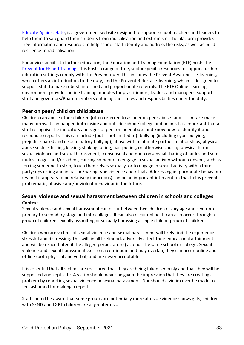[Educate Against Hate,](https://educateagainsthate.com/) is a government website designed to support school teachers and leaders to help them to safeguard their students from radicalisation and extremism. The platform provides free information and resources to help school staff identify and address the risks, as well as build resilience to radicalisation.

For advice specific to further education, the Education and Training Foundation (ETF) hosts the [Prevent for FE and Training.](https://preventforfeandtraining.org.uk/) This hosts a range of free, sector specific resources to support further education settings comply with the Prevent duty. This includes the Prevent Awareness e-learning, which offers an introduction to the duty, and the Prevent Referral e-learning, which is designed to support staff to make robust, informed and proportionate referrals. The ETF Online Learning environment provides online training modules for practitioners, leaders and managers, support staff and governors/Board members outlining their roles and responsibilities under the duty.

# **Peer on peer/ child on child abuse**

Children can abuse other children (often referred to as peer on peer abuse) and it can take make many forms. It can happen both inside and outside school/college and online. It is important that all staff recognise the indicators and signs of peer on peer abuse and know how to identify it and respond to reports. This can include (but is not limited to): bullying (including cyberbullying, prejudice-based and discriminatory bullying); abuse within intimate partner relationships; physical abuse such as hitting, kicking, shaking, biting, hair pulling, or otherwise causing physical harm; sexual violence and sexual harassment; consensual and non-consensual sharing of nudes and seminudes images and/or videos; causing someone to engage in sexual activity without consent, such as forcing someone to strip, touch themselves sexually, or to engage in sexual activity with a third party; upskirting and initiation/hazing type violence and rituals. Addressing inappropriate behaviour (even if it appears to be relatively innocuous) can be an important intervention that helps prevent problematic, abusive and/or violent behaviour in the future.

# **Sexual violence and sexual harassment between children in schools and colleges Context**

Sexual violence and sexual harassment can occur between two children of **any** age and sex from primary to secondary stage and into colleges. It can also occur online. It can also occur through a group of children sexually assaulting or sexually harassing a single child or group of children.

Children who are victims of sexual violence and sexual harassment will likely find the experience stressful and distressing. This will, in all likelihood, adversely affect their educational attainment and will be exacerbated if the alleged perpetrator(s) attends the same school or college. Sexual violence and sexual harassment exist on a continuum and may overlap, they can occur online and offline (both physical and verbal) and are never acceptable.

It is essential that **all** victims are reassured that they are being taken seriously and that they will be supported and kept safe. A victim should never be given the impression that they are creating a problem by reporting sexual violence or sexual harassment. Nor should a victim ever be made to feel ashamed for making a report.

Staff should be aware that some groups are potentially more at risk. Evidence shows girls, children with SEND and LGBT children are at greater risk.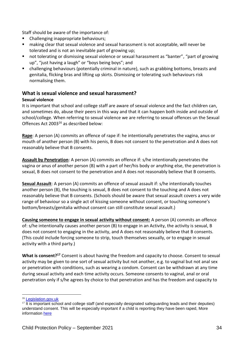Staff should be aware of the importance of:

- Challenging inappropriate behaviours;
- making clear that sexual violence and sexual harassment is not acceptable, will never be tolerated and is not an inevitable part of growing up;
- not tolerating or dismissing sexual violence or sexual harassment as "banter", "part of growing up", "just having a laugh" or "boys being boys"; and
- challenging behaviours (potentially criminal in nature), such as grabbing bottoms, breasts and genitalia, flicking bras and lifting up skirts. Dismissing or tolerating such behaviours risk normalising them.

# **What is sexual violence and sexual harassment?**

### **Sexual violence**

It is important that school and college staff are aware of sexual violence and the fact children can, and sometimes do, abuse their peers in this way and that it can happen both inside and outside of school/college. When referring to sexual violence we are referring to sexual offences un the Sexual Offences Act 2003<sup>16</sup> as described below:

**Rape**: A person (A) commits an offence of rape if: he intentionally penetrates the vagina, anus or mouth of another person (B) with his penis, B does not consent to the penetration and A does not reasonably believe that B consents.

**Assault by Penetration**: A person (A) commits an offence if: s/he intentionally penetrates the vagina or anus of another person (B) with a part of her/his body or anything else, the penetration is sexual, B does not consent to the penetration and A does not reasonably believe that B consents.

**Sexual Assault**: A person (A) commits an offence of sexual assault if: s/he intentionally touches another person (B), the touching is sexual, B does not consent to the touching and A does not reasonably believe that B consents. (Schools should be aware that sexual assault covers a very wide range of behaviour so a single act of kissing someone without consent, or touching someone's bottom/breasts/genitalia without consent can still constitute sexual assault.)

**Causing someone to engage in sexual activity without consent:** A person (A) commits an offence of: s/he intentionally causes another person (B) to engage in an Activity, the activity is sexual, B does not consent to engaging in the activity, and A does not reasonably believe that B consents. (This could include forcing someone to strip, touch themselves sexually, or to engage in sexual activity with a third party.)

**What is consent?<sup>17</sup>** Consent is about having the freedom and capacity to choose. Consent to sexual activity may be given to one sort of sexual activity but not another, e.g. to vaginal but not anal sex or penetration with conditions, such as wearing a condom. Consent can be withdrawn at any time during sexual activity and each time activity occurs. Someone consents to vaginal, anal or oral penetration only if s/he agrees by choice to that penetration and has the freedom and capacity to

1

<sup>&</sup>lt;sup>16</sup> [Legislation.gov.uk](https://www.legislation.gov.uk/ukpga/2003/42/contents)

 $17$  It is important school and college staff (and especially designated safeguarding leads and their deputies) understand consent. This will be especially important if a child is reporting they have been raped, More information [here](https://www.disrespectnobody.co.uk/consent/what-is-consent/)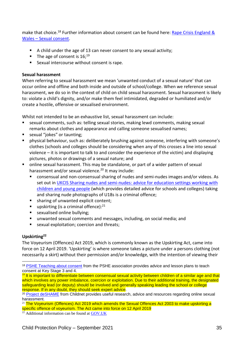make that choice.<sup>18</sup> Further information about consent can be found here: Rape Crisis England & Wales – [Sexual consent.](https://rapecrisis.org.uk/)

- A child under the age of 13 can never consent to any sexual activity;
- **The age of consent is 16:**<sup>19</sup>
- Sexual intercourse without consent is rape.

### **Sexual harassment**

When referring to sexual harassment we mean 'unwanted conduct of a sexual nature' that can occur online and offline and both inside and outside of school/college. When we reference sexual harassment, we do so in the context of child on child sexual harassment. Sexual harassment is likely to: violate a child's dignity, and/or make them feel intimidated, degraded or humiliated and/or create a hostile, offensive or sexualised environment.

Whilst not intended to be an exhaustive list, sexual harassment can include:

- sexual comments, such as: telling sexual stories, making lewd comments, making sexual remarks about clothes and appearance and calling someone sexualised names;
- sexual "jokes" or taunting:
- physical behaviour, such as: deliberately brushing against someone, interfering with someone's clothes (schools and colleges should be considering when any of this crosses a line into sexual violence – it is important to talk to and consider the experience of the victim) and displaying pictures, photos or drawings of a sexual nature; and
- online sexual harassment. This may be standalone, or part of a wider pattern of sexual harassment and/or sexual violence.<sup>20</sup> It may include:
	- consensual and non-consensual sharing of nudes and semi-nudes images and/or videos. As set out in [UKCIS Sharing nudes and semi-nudes: advice for education settings working with](https://www.gov.uk/government/publications/sharing-nudes-and-semi-nudes-advice-for-education-settings-working-with-children-and-young-people/sharing-nudes-and-semi-nudes-advice-for-education-settings-working-with-children-and-young-people)  [children and young people](https://www.gov.uk/government/publications/sharing-nudes-and-semi-nudes-advice-for-education-settings-working-with-children-and-young-people/sharing-nudes-and-semi-nudes-advice-for-education-settings-working-with-children-and-young-people) (which provides detailed advice for schools and colleges) taking and sharing nude photographs of U18s is a criminal offence;
	- sharing of unwanted explicit content:
	- **•** upskirting (is a criminal offence):  $21$
	- sexualised online bullying;
	- unwanted sexual comments and messages, including, on social media; and
	- sexual exploitation; coercion and threats;

# **Upskirting<sup>22</sup>**

The Voyeurism (Offences) Act 2019, which is commonly known as the Upskirting Act, came into force on 12 April 2019. 'Upskirting' is where someone takes a picture under a persons clothing (not necessarily a skirt) without their permission and/or knowledge, with the intention of viewing their

<sup>1</sup> <sup>18</sup> [PSHE Teaching about consent](https://www.pshe-association.org.uk/curriculum-and-resources/resources/guidance-teaching-about-consent-pshe-education-key) from the PSHE association provides advice and lesson plans to teach consent at Key Stage 3 and 4.

<sup>&</sup>lt;sup>19</sup> It is important to differentiate between consensual sexual activity between children of a similar age and that which involves any power imbalance, coercion or exploitation. Due to their additional training, the designated safeguarding lead (or deputy) should be involved and generally speaking leading the school or college response. If in any doubt, they should seek expert advice.

<sup>&</sup>lt;sup>20</sup> [Project deSHAME](https://www.childnet.com/our-projects/project-deshame) from Childnet provides useful research, advice and resources regarding online sexual harassment.

 $21$  The Voyeurism (Offences) Act 2019 which amends the Sexual Offences Act 2003 to make upskirting a specific offence of voyeurism. The Act came into force on 12 April 2019

 $\overline{22}$  Additional information can be found at [GOV.UK](https://www.gov.uk/government/news/upskirting-law-comes-into-force)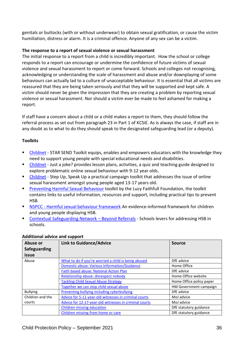genitals or buttocks (with or without underwear) to obtain sexual gratification, or cause the victim humiliation, distress or alarm. It is a criminal offence. Anyone of any sex can be a victim.

### **The response to a report of sexual violence or sexual harassment**

The initial response to a report from a child is incredibly important. How the school or college responds to a report can encourage or undermine the confidence of future victims of sexual violence and sexual harassment to report or come forward. Schools and colleges not recognising, acknowledging or understanding the scale of harassment and abuse and/or downplaying of some behaviours can actually lad to a culture of unacceptable behaviour. It is essential that all victims are reassured that they are being taken seriously and that they will be supported and kept safe. A victim should never be given the impression that they are creating a problem by reporting sexual violence or sexual harassment. Nor should a victim ever be made to feel ashamed for making a report.

If staff have a concern about a child or a child makes a report to them, they should follow the referral process as set out from paragraph 23 in Part 1 of KCSiE. As is always the case, if staff are in any doubt as to what to do they should speak to the designated safeguarding lead (or a deputy).

### **Toolkits**

- [Childnet](https://www.childnet.com/resources/star-send-toolkit) STAR SEND Toolkit equips, enables and empowers educators with the knowledge they need to support young people with special educational needs and disabilities.
- [Childnet](https://www.childnet.com/resources/just-a-joke) Just a joke? provides lesson plans, activities, a quiz and teaching guide designed to explore problematic online sexual behaviour with 9-12 year olds.
- [Childnet](https://www.childnet.com/resources/step-up-speak-up/) Step Up, Speak Up a practical campaign toolkit that addresses the issue of online sexual harassment amongst young people aged 13-17 years old.
- **[Preventing Harmful Sexual Behaviour](https://www.stopitnow.org.uk/concerned-about-a-child-or-young-persons-sexual-behaviour/preventing-harmful-sexual-behaviour/) toolkit by the Lucy Faithfull Foundation, the toolkit** contains links to useful information, resources and support, including practical tips to prevent HSB.
- NSPCC [Harmful sexual behaviour framework](https://learning.nspcc.org.uk/research-resources/2019/harmful-sexual-behaviour-framework) An evidence-informed framework for children and young people displaying HSB.
- [Contextual Safeguarding Network](https://contextualsafeguarding.org.uk/portfolio-items/beyond-referrals-2-project-to-address-harmful-behaviour-in-schools/)  Beyond Referrals Schools levers for addressing HSB in schools.

| Abuse or         | <b>Link to Guidance/Advice</b>                         | <b>Source</b>            |
|------------------|--------------------------------------------------------|--------------------------|
| Safeguarding     |                                                        |                          |
| issue            |                                                        |                          |
| Abuse            | What to do if you're worried a child is being abused   | DfE advice               |
|                  | <b>Domestic abuse: Various Information/Guidance</b>    | Home Office              |
|                  | <b>Faith based abuse: National Action Plan</b>         | DfE advice               |
|                  | Relationship abuse: disrespect nobody                  | Home Office website      |
|                  | <b>Tackling Child Sexual Abuse Strategy</b>            | Home Office policy paper |
|                  | Together we can stop child sexual abuse                | HM Government campaign   |
| <b>Bullying</b>  | Preventing bullying including cyberbullying            | DfE advice               |
| Children and the | Advice for 5-11-year-old witnesses in criminal courts  | MoJ advice               |
| courts           | Advice for 12-17-year-old witnesses in criminal courts | MoJ advice               |
|                  | <b>Children missing education</b>                      | DfE statutory guidance   |
|                  | Children missing from home or care                     | DfE statutory guidance   |

### **Additional advice and support**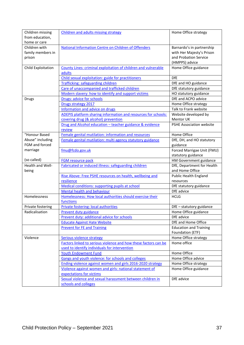| Children missing   | Children and adults missing strategy                            | Home Office strategy          |
|--------------------|-----------------------------------------------------------------|-------------------------------|
| from education,    |                                                                 |                               |
| home or care       |                                                                 |                               |
| Children with      | National Information Centre on Children of Offenders            | Barnardo's in partnership     |
| family members in  |                                                                 | with Her Majesty's Prison     |
| prison             |                                                                 | and Probation Service         |
|                    |                                                                 | (HMPPS) advice                |
| Child Exploitation | County Lines: criminal exploitation of children and vulnerable  | Home Office guidance          |
|                    | adults                                                          |                               |
|                    | Child sexual exploitation: guide for practitioners              | <b>DfE</b>                    |
|                    | Trafficking: safeguarding children                              |                               |
|                    |                                                                 | DfE and HO guidance           |
|                    | Care of unaccompanied and trafficked children                   | DfE statutory guidance        |
|                    | Modern slavery: how to identify and support victims             | HO statutory guidance         |
| <b>Drugs</b>       | Drugs: advice for schools                                       | DfE and ACPO advice           |
|                    | Drugs strategy 2017                                             | Home Office strategy          |
|                    | Information and advice on drugs                                 | Talk to Frank website         |
|                    | ADEPIS platform sharing information and resources for schools:  | Website developed by          |
|                    | covering drug (& alcohol) prevention                            | Mentor UK                     |
|                    | Drug and Alcohol education - teacher guidance & evidence        | PSHE Association website      |
|                    | review                                                          |                               |
| "Honour Based      | Female genital mutilation: information and resources            | Home Office                   |
| Abuse" including   | Female genital mutilation: multi agency statutory guidance      | DfE, DH, and HO statutory     |
| FGM and forced     |                                                                 | guidance                      |
| marriage           | fmu@fcdo.gov.uk                                                 | Forced Marrigae Unit (FMU)    |
|                    |                                                                 |                               |
| (so called)        |                                                                 | statutory guidance            |
|                    | <b>FGM resource pack</b>                                        | HM Government guidance        |
| Health and Well-   | <b>Fabricated or induced illness: safeguarding children</b>     | DfE, Department for Health    |
| being              |                                                                 | and Home Office               |
|                    | Rise Above: Free PSHE resources on health, wellbeing and        | <b>Public Health England</b>  |
|                    | resilience                                                      | resources                     |
|                    | Medical conditions: supporting pupils at school                 | DfE statutory guidance        |
|                    | Mental health and behaviour                                     | DfE advice                    |
| Homelessness       | Homelessness: How local authorities should exercise their       | <b>HCLG</b>                   |
|                    | functions                                                       |                               |
| Private fostering  | Private fostering: local authorities                            | DfE - statutory guidance      |
| Radicalisation     | Prevent duty guidance                                           | Home Office guidance          |
|                    | Prevent duty: additional advice for schools                     | DfE advice                    |
|                    | <b>Educate Against Hate Website</b>                             | DfE and Home Office           |
|                    | <b>Prevent for FE and Training</b>                              | <b>Education and Training</b> |
|                    |                                                                 | Foundation (ETF)              |
| Violence           | <b>Serious violence strategy</b>                                | Home Office strategy          |
|                    |                                                                 |                               |
|                    | Factors linked to serious violence and how these factors can be | Home office                   |
|                    | used to identify individuals for intervention                   |                               |
|                    | <b>Youth Endowment Fund</b>                                     | Home Office                   |
|                    | Gangs and youth violence: for schools and colleges              | Home Office advice            |
|                    | Ending violence against women and girls 2016-2020 strategy      | Home Office strategy          |
|                    | Violence against women and girls: national statement of         | Home Office guidance          |
|                    | expectations for victims                                        |                               |
|                    | Sexual violence and sexual harassment between children in       | DfE advice                    |
|                    | schools and colleges                                            |                               |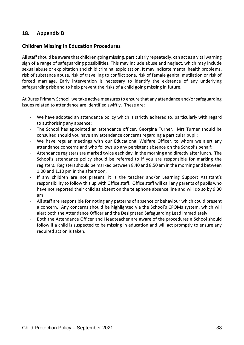# **18. Appendix B**

# **Children Missing in Education Procedures**

All staff should be aware that children going missing, particularly repeatedly, can act as a vital warning sign of a range of safeguarding possibilities. This may include abuse and neglect, which may include sexual abuse or exploitation and child criminal exploitation. It may indicate mental health problems, risk of substance abuse, risk of travelling to conflict zone, risk of female genital mutilation or risk of forced marriage. Early intervention is necessary to identify the existence of any underlying safeguarding risk and to help prevent the risks of a child going missing in future.

At Bures Primary School, we take active measures to ensure that any attendance and/or safeguarding issues related to attendance are identified swiftly. These are:

- We have adopted an attendance policy which is strictly adhered to, particularly with regard to authorising any absence;
- The School has appointed an attendance officer, Georgina Turner. Mrs Turner should be consulted should you have any attendance concerns regarding a particular pupil;
- We have regular meetings with our Educational Welfare Officer, to whom we alert any attendance concerns and who follows up any persistent absence on the School's behalf;
- Attendance registers are marked twice each day, in the morning and directly after lunch. The School's attendance policy should be referred to if you are responsible for marking the registers. Registers should be marked between 8.40 and 8.50 am in the morning and between 1.00 and 1.10 pm in the afternoon;
- If any children are not present, it is the teacher and/or Learning Support Assistant's responsibility to follow this up with Office staff. Office staff will call any parents of pupils who have not reported their child as absent on the telephone absence line and will do so by 9.30 am;
- All staff are responsible for noting any patterns of absence or behaviour which could present a concern. Any concerns should be highlighted via the School's CPOMs system, which will alert both the Attendance Officer and the Designated Safeguarding Lead immediately;
- Both the Attendance Officer and Headteacher are aware of the procedures a School should follow if a child is suspected to be missing in education and will act promptly to ensure any required action is taken.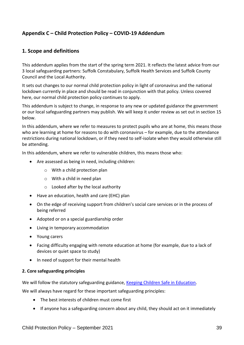# **Appendix C – Child Protection Policy – COVID-19 Addendum**

# **1. Scope and definitions**

This addendum applies from the start of the spring term 2021. It reflects the latest advice from our 3 local safeguarding partners: Suffolk Constabulary, Suffolk Health Services and Suffolk County Council and the Local Authority.

It sets out changes to our normal child protection policy in light of coronavirus and the national lockdown currently in place and should be read in conjunction with that policy. Unless covered here, our normal child protection policy continues to apply.

This addendum is subject to change, in response to any new or updated guidance the government or our local safeguarding partners may publish. We will keep it under review as set out in section 15 below.

In this addendum, where we refer to measures to protect pupils who are at home, this means those who are learning at home for reasons to do with coronavirus – for example, due to the attendance restrictions during national lockdown, or if they need to self-isolate when they would otherwise still be attending.

In this addendum, where we refer to vulnerable children, this means those who:

- Are assessed as being in need, including children:
	- o With a child protection plan
	- o With a child in need plan
	- $\circ$  Looked after by the local authority
- Have an education, health and care (EHC) plan
- On the edge of receiving support from children's social care services or in the process of being referred
- Adopted or on a special guardianship order
- Living in temporary accommodation
- Young carers
- Facing difficulty engaging with remote education at home (for example, due to a lack of devices or quiet space to study)
- In need of support for their mental health

#### **2. Core safeguarding principles**

We will follow the statutory safeguarding guidance, [Keeping Children Safe in Education.](https://www.gov.uk/government/publications/keeping-children-safe-in-education--2)

We will always have regard for these important safeguarding principles:

- The best interests of children must come first
- If anyone has a safeguarding concern about any child, they should act on it immediately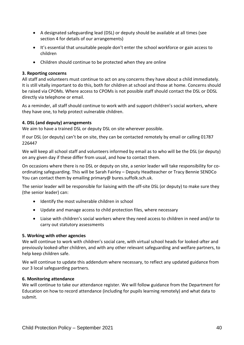- A designated safeguarding lead (DSL) or deputy should be available at all times (see section 4 for details of our arrangements)
- It's essential that unsuitable people don't enter the school workforce or gain access to children
- Children should continue to be protected when they are online

### **3. Reporting concerns**

All staff and volunteers must continue to act on any concerns they have about a child immediately. It is still vitally important to do this, both for children at school and those at home. Concerns should be raised via CPOMs. Where access to CPOMs is not possible staff should contact the DSL or DDSL directly via telephone or email.

As a reminder, all staff should continue to work with and support children's social workers, where they have one, to help protect vulnerable children.

### **4. DSL (and deputy) arrangements**

We aim to have a trained DSL or deputy DSL on site wherever possible.

If our DSL (or deputy) can't be on site, they can be contacted remotely by email or calling 01787 226447

We will keep all school staff and volunteers informed by email as to who will be the DSL (or deputy) on any given day if these differ from usual, and how to contact them.

On occasions where there is no DSL or deputy on site, a senior leader will take responsibility for coordinating safeguarding. This will be Sarah Fairley – Deputy Headteacher or Tracy Bennie SENDCo You can contact them by emailing primary@ bures.suffolk.sch.uk.

The senior leader will be responsible for liaising with the off-site DSL (or deputy) to make sure they (the senior leader) can:

- Identify the most vulnerable children in school
- Update and manage access to child protection files, where necessary
- Liaise with children's social workers where they need access to children in need and/or to carry out statutory assessments

### **5. Working with other agencies**

We will continue to work with children's social care, with virtual school heads for looked-after and previously looked-after children, and with any other relevant safeguarding and welfare partners, to help keep children safe.

We will continue to update this addendum where necessary, to reflect any updated guidance from our 3 local safeguarding partners.

### **6. Monitoring attendance**

We will continue to take our attendance register. We will follow guidance from the Department for Education on how to record attendance (including for pupils learning remotely) and what data to submit.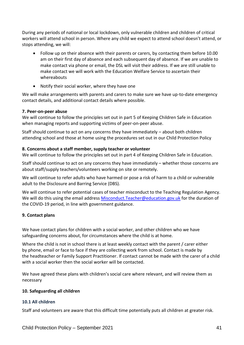During any periods of national or local lockdown, only vulnerable children and children of critical workers will attend school in person. Where any child we expect to attend school doesn't attend, or stops attending, we will:

- Follow up on their absence with their parents or carers, by contacting them before 10.00 am on their first day of absence and each subsequent day of absence. If we are unable to make contact via phone or email, the DSL will visit their address. If we are still unable to make contact we will work with the Education Welfare Service to ascertain their whereabouts
- Notify their social worker, where they have one

We will make arrangements with parents and carers to make sure we have up-to-date emergency contact details, and additional contact details where possible.

### **7. Peer-on-peer abuse**

We will continue to follow the principles set out in part 5 of Keeping Children Safe in Education when managing reports and supporting victims of peer-on-peer abuse.

Staff should continue to act on any concerns they have immediately – about both children attending school and those at home using the procedures set out in our Child Protection Policy

#### **8. Concerns about a staff member, supply teacher or volunteer**

We will continue to follow the principles set out in part 4 of Keeping Children Safe in Education.

Staff should continue to act on any concerns they have immediately – whether those concerns are about staff/supply teachers/volunteers working on site or remotely.

We will continue to refer adults who have harmed or pose a risk of harm to a child or vulnerable adult to the Disclosure and Barring Service (DBS).

We will continue to refer potential cases of teacher misconduct to the Teaching Regulation Agency. We will do this using the email address [Misconduct.Teacher@education.gov.uk](mailto:Misconduct.Teacher@education.gov.uk) for the duration of the COVID-19 period, in line with government guidance.

### **9. Contact plans**

We have contact plans for children with a social worker, and other children who we have safeguarding concerns about, for circumstances where the child is at home.

Where the child is not in school there is at least weekly contact with the parent / carer either by phone, email or face to face if they are collecting work from school. Contact is made by the headteacher or Family Support Practitioner. If contact cannot be made with the carer of a child with a social worker then the social worker will be contacted.

We have agreed these plans with children's social care where relevant, and will review them as necessary

### **10. Safeguarding all children**

### **10.1 All children**

Staff and volunteers are aware that this difficult time potentially puts all children at greater risk.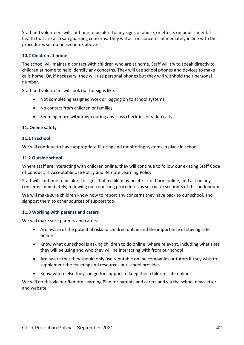Staff and volunteers will continue to be alert to any signs of abuse, or effects on pupils' mental health that are also safeguarding concerns. They will act on concerns immediately in line with the procedures set out in section 3 above.

#### **10.2 Children at home**

The school will maintain contact with children who are at home. Staff will try to speak directly to children at home to help identify any concerns. They will use school phones and devices to make calls home. Or, if necessary, they will use personal phones but they will withhold their personal number.

Staff and volunteers will look out for signs like:

- Not completing assigned work or logging on to school systems
- No contact from children or families
- Seeming more withdrawn during any class check-ins or video calls

#### **11. Online safety**

#### **11.1 In school**

We will continue to have appropriate filtering and monitoring systems in place in school.

#### **11.2 Outside school**

Where staff are interacting with children online, they will continue to follow our existing Staff Code of Conduct, IT Acceptable Use Policy and Remote Learning Policy.

Staff will continue to be alert to signs that a child may be at risk of harm online, and act on any concerns immediately, following our reporting procedures as set out in section 3 of this addendum

We will make sure children know how to report any concerns they have back to our school, and signpost them to other sources of support too.

### **11.3 Working with parents and carers**

We will make sure parents and carers:

- Are aware of the potential risks to children online and the importance of staying safe online
- Know what our school is asking children to do online, where relevant, including what sites they will be using and who they will be interacting with from our school
- Are aware that they should only use reputable online companies or tutors if they wish to supplement the teaching and resources our school provides
- Know where else they can go for support to keep their children safe online

We will do this via our Remote Learning Plan for parents and carers and via the school newsletter and website.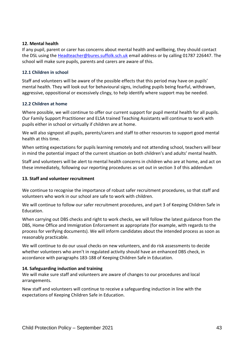### **12. Mental health**

If any pupil, parent or carer has concerns about mental health and wellbeing, they should contact the DSL using the [Headteacher@bures.suffolk.sch.uk](mailto:Headteacher@bures.suffolk.sch.uk) email address or by calling 01787 226447. The school will make sure pupils, parents and carers are aware of this.

#### **12.1 Children in school**

Staff and volunteers will be aware of the possible effects that this period may have on pupils' mental health. They will look out for behavioural signs, including pupils being fearful, withdrawn, aggressive, oppositional or excessively clingy, to help identify where support may be needed.

#### **12.2 Children at home**

Where possible, we will continue to offer our current support for pupil mental health for all pupils. Our Family Support Practitioner and ELSA trained Teaching Assistants will continue to work with pupils either in school or virtually if children are at home.

We will also signpost all pupils, parents/carers and staff to other resources to support good mental health at this time.

When setting expectations for pupils learning remotely and not attending school, teachers will bear in mind the potential impact of the current situation on both children's and adults' mental health.

Staff and volunteers will be alert to mental health concerns in children who are at home, and act on these immediately, following our reporting procedures as set out in section 3 of this addendum

### **13. Staff and volunteer recruitment**

We continue to recognise the importance of robust safer recruitment procedures, so that staff and volunteers who work in our school are safe to work with children.

We will continue to follow our safer recruitment procedures, and part 3 of Keeping Children Safe in Education.

When carrying out DBS checks and right to work checks, we will follow the latest guidance from the DBS, Home Office and Immigration Enforcement as appropriate (for example, with regards to the process for verifying documents). We will inform candidates about the intended process as soon as reasonably practicable.

We will continue to do our usual checks on new volunteers, and do risk assessments to decide whether volunteers who aren't in regulated activity should have an enhanced DBS check, in accordance with paragraphs 183-188 of Keeping Children Safe in Education.

### **14. Safeguarding induction and training**

We will make sure staff and volunteers are aware of changes to our procedures and local arrangements.

New staff and volunteers will continue to receive a safeguarding induction in line with the expectations of Keeping Children Safe in Education.